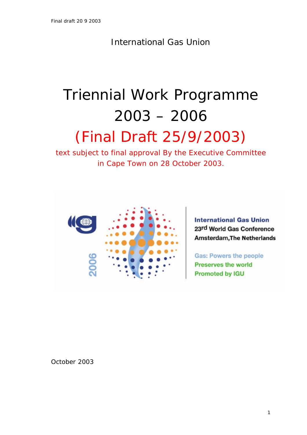International Gas Union

# Triennial Work Programme 2003 – 2006

# (Final Draft 25/9/2003)

text subject to final approval By the Executive Committee in Cape Town on 28 October 2003.



**International Gas Union** 23rd World Gas Conference **Amsterdam, The Netherlands** 

**Gas: Powers the people Preserves the world Promoted by IGU** 

October 2003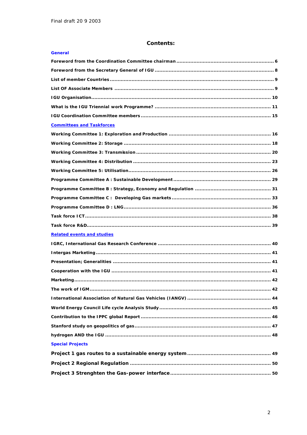# **Contents:**

| <b>General</b>                    |  |
|-----------------------------------|--|
|                                   |  |
|                                   |  |
|                                   |  |
|                                   |  |
|                                   |  |
|                                   |  |
|                                   |  |
| <b>Committees and Taskforces</b>  |  |
|                                   |  |
|                                   |  |
|                                   |  |
|                                   |  |
|                                   |  |
|                                   |  |
|                                   |  |
|                                   |  |
|                                   |  |
|                                   |  |
|                                   |  |
| <b>Related events and studies</b> |  |
|                                   |  |
|                                   |  |
|                                   |  |
|                                   |  |
| . 42                              |  |
|                                   |  |
|                                   |  |
|                                   |  |
|                                   |  |
|                                   |  |
|                                   |  |
| <b>Special Projects</b>           |  |
|                                   |  |
|                                   |  |
|                                   |  |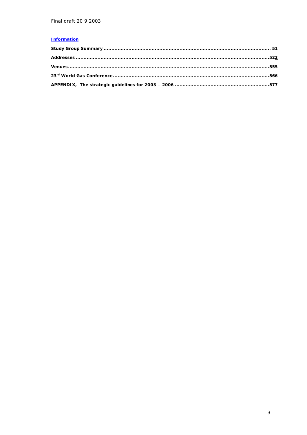# **Information**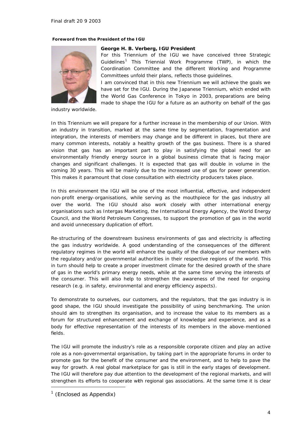#### **Foreword from the President of the IGU**



#### **George H. B. Verberg, IGU President**

For this Triennium of the IGU we have conceived three Strategic Guidelines<sup>1</sup> This Triennial Work Programme (TWP), in which the Coordination Committee and the different Working and Programme Committees unfold their plans, reflects those guidelines.

I am convinced that in this new Triennium we will achieve the goals we have set for the IGU. During the Japanese Triennium, which ended with the World Gas Conference in Tokyo in 2003, preparations are being made to shape the IGU for a future as an authority on behalf of the gas

industry worldwide.

In this Triennium we will prepare for a further increase in the membership of our Union. With an industry in transition, marked at the same time by segmentation, fragmentation and integration, the interests of members may change and be different in places, but there are many common interests, notably a healthy growth of the gas business. There is a shared vision that gas has an important part to play in satisfying the global need for an environmentally friendly energy source in a global business climate that is facing major changes and significant challenges. It is expected that gas will double in volume in the coming 30 years. This will be mainly due to the increased use of gas for power generation. This makes it paramount that close consultation with electricity producers takes place.

In this environment the IGU will be one of the most influential, effective, and independent non-profit energy-organisations, while serving as the mouthpiece for the gas industry all over the world. The IGU should also work closely with other international energy organisations such as Intergas Marketing, the International Energy Agency, the World Energy Council, and the World Petroleum Congresses, to support the promotion of gas in the world and avoid unnecessary duplication of effort.

Re-structuring of the downstream business environments of gas and electricity is affecting the gas industry worldwide. A good understanding of the consequences of the different regulatory regimes in the world will enhance the quality of the dialogue of our members with the regulatory and/or governmental authorities in their respective regions of the world. This in turn should help to create a proper investment climate for the desired growth of the share of gas in the world's primary energy needs, while at the same time serving the interests of the consumer. This will also help to strengthen the awareness of the need for ongoing research (e.g. in safety, environmental and energy efficiency aspects).

To demonstrate to ourselves, our customers, and the regulators, that the gas industry is in good shape, the IGU should investigate the possibility of using benchmarking. The union should aim to strengthen its organisation, and to increase the value to its members as a forum for structured enhancement and exchange of knowledge and experience, and as a body for effective representation of the interests of its members in the above-mentioned fields.

The IGU will promote the industry's role as a responsible corporate citizen and play an active role as a non-governmental organisation, by taking part in the appropriate forums in order to promote gas for the benefit of the consumer and the environment, and to help to pave the way for growth. A real global marketplace for gas is still in the early stages of development. The IGU will therefore pay due attention to the development of the regional markets, and will strengthen its efforts to cooperate with regional gas associations. At the same time it is clear

ł

 $<sup>1</sup>$  (Enclosed as Appendix)</sup>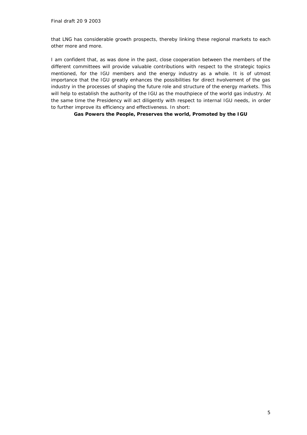that LNG has considerable growth prospects, thereby linking these regional markets to each other more and more.

I am confident that, as was done in the past, close cooperation between the members of the different committees will provide valuable contributions with respect to the strategic topics mentioned, for the IGU members and the energy industry as a whole. It is of utmost importance that the IGU greatly enhances the possibilities for direct involvement of the gas industry in the processes of shaping the future role and structure of the energy markets. This will help to establish the authority of the IGU as the mouthpiece of the world gas industry. At the same time the Presidency will act diligently with respect to internal IGU needs, in order to further improve its efficiency and effectiveness. In short:

**Gas Powers the People, Preserves the world, Promoted by the IGU**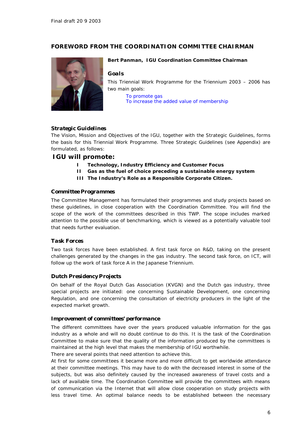# *FOREWORD FROM THE COORDINATION COMMITTEE CHAIRMAN*



#### **Bert Panman, IGU Coordination Committee Chairman**

#### *Goals*

This Triennial Work Programme for the Triennium 2003 – 2006 has two main goals:

*To promote gas To increase the added value of membership*

#### *Strategic Guidelines*

The Vision, Mission and Objectives of the IGU, together with the Strategic Guidelines, forms the basis for this Triennial Work Programme. Three Strategic Guidelines (see Appendix) are formulated, as follows:

#### **IGU will promote:**

- **I Technology, Industry Efficiency and Customer Focus**
- **II Gas as the fuel of choice preceding a sustainable energy system**
- **III The Industry's Role as a Responsible Corporate Citizen.**

#### *Committee Programmes*

The Committee Management has formulated their programmes and study projects based on these guidelines, in close cooperation with the Coordination Committee. You will find the scope of the work of the committees described in this TWP. The scope includes marked attention to the possible use of benchmarking, which is viewed as a potentially valuable tool that needs further evaluation.

#### *Task Forces*

Two task forces have been established. A first task force on R&D, taking on the present challenges generated by the changes in the gas industry. The second task force, on ICT, will follow up the work of task force A in the Japanese Triennium.

#### *Dutch Presidency Projects*

On behalf of the Royal Dutch Gas Association (KVGN) and the Dutch gas industry, three special projects are initiated: one concerning Sustainable Development, one concerning Regulation, and one concerning the consultation of electricity producers in the light of the expected market growth.

#### *Improvement of committees' performance*

The different committees have over the years produced valuable information for the gas industry as a whole and will no doubt continue to do this. It is the task of the Coordination Committee to make sure that the quality of the information produced by the committees is maintained at the high level that makes the membership of IGU worthwhile.

There are several points that need attention to achieve this.

At first for some committees it became more and more difficult to get worldwide attendance at their committee meetings. This may have to do with the decreased interest in some of the subjects, but was also definitely caused by the increased awareness of travel costs and a lack of available time. The Coordination Committee will provide the committees with means of communication via the Internet that will allow close cooperation on study projects with less travel time. An optimal balance needs to be established between the necessary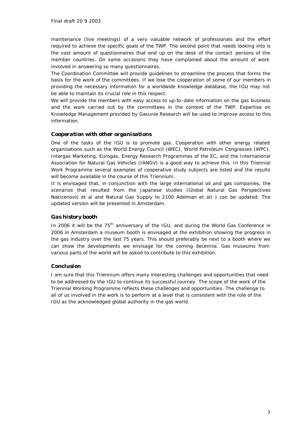maintenance (live meetings) of a very valuable network of professionals and the effort required to achieve the specific goals of the TWP. The second point that needs looking into is the vast amount of questionnaires that end up on the desk of the contact persons of the member countries. On some occasions they have complained about the amount of work involved in answering so many questionnaires.

The Coordination Committee will provide guidelines to streamline the process that forms the basis for the work of the committees. If we lose the cooperation of some of our members in providing the necessary information for a worldwide knowledge database, the IGU may not be able to maintain its crucial role in this respect.

We will provide the members with easy access to up-to-date information on the gas business and the work carried out by the committees in the context of the TWP. Expertise on Knowledge Management provided by Gasunie Research will be used to improve access to this information.

#### *Cooperation with other organisations*

One of the tasks of the IGU is to promote gas. Cooperation with other energy related organisations such as the World Energy Council (WEC), World Petroleum Congresses (WPC), Intergas Marketing, Eurogas, Energy Research Programmes of the EC, and the International Association for Natural Gas Vehicles (IANGV) is a good way to achieve this. In this Triennial Work Programme several examples of cooperative study subjects are listed and the results will become available in the course of this Triennium.

It is envisaged that, in conjunction with the large international oil and gas companies, the scenarios that resulted from the Japanese studies (Global Natural Gas Perspectives Nakicenovic et al and Natural Gas Supply to 2100 Adelman et al) ) can be updated. The updated version will be presented in Amsterdam.

### *Gas history booth*

In 2006 it will be the 75<sup>th</sup> anniversary of the IGU, and during the World Gas Conference in 2006 in Amsterdam a museum booth is envisaged at the exhibition showing the progress in the gas industry over the last 75 years. This should preferably be next to a booth where we can show the developments we envisage for the coming decennia. Gas museums from various parts of the world will be asked to contribute to this exhibition.

#### *Conclusion*

I am sure that this Triennium offers many interesting challenges and opportunities that need to be addressed by the IGU to continue its successful journey. The scope of the work of the Triennial Working Programme reflects these challenges and opportunities. The challenge to all of us involved in the work is to perform at a level that is consistent with the role of the IGU as the acknowledged global authority in the gas world.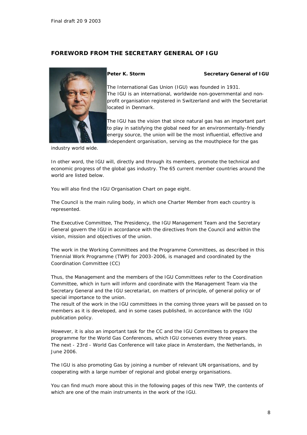# *FOREWORD FROM THE SECRETARY GENERAL OF IGU*



#### **Peter K. Storm Secretary General of IGU**

The International Gas Union (IGU) was founded in 1931. The IGU is an international, worldwide non-governmental and nonprofit organisation registered in Switzerland and with the Secretariat located in Denmark.

The IGU has the vision that since natural gas has an important part to play in satisfying the global need for an environmentally-friendly energy source, the union will be the most influential, effective and independent organisation, serving as the mouthpiece for the gas

industry world wide.

In other word, the IGU will, directly and through its members, promote the technical and economic progress of the global gas industry. The 65 current member countries around the world are listed below.

You will also find the IGU Organisation Chart on page eight.

The Council is the main ruling body, in which one Charter Member from each country is represented.

The Executive Committee, The Presidency, the IGU Management Team and the Secretary General govern the IGU in accordance with the directives from the Council and within the vision, mission and objectives of the union.

The work in the Working Committees and the Programme Committees, as described in this Triennial Work Programme (TWP) for 2003-2006, is managed and coordinated by the Coordination Committee (CC)

Thus, the Management and the members of the IGU Committees refer to the Coordination Committee, which in turn will inform and coordinate with the Management Team via the Secretary General and the IGU secretariat, on matters of principle, of general policy or of special importance to the union.

The result of the work in the IGU committees in the coming three years will be passed on to members as it is developed, and in some cases published, in accordance with the IGU publication policy.

However, it is also an important task for the CC and the IGU Committees to prepare the programme for the World Gas Conferences, which IGU convenes every three years. The next - 23rd - World Gas Conference will take place in Amsterdam, the Netherlands, in June 2006.

The IGU is also promoting Gas by joining a number of relevant UN organisations, and by cooperating with a large number of regional and global energy organisations.

You can find much more about this in the following pages of this new TWP, the contents of which are one of the main instruments in the work of the IGU.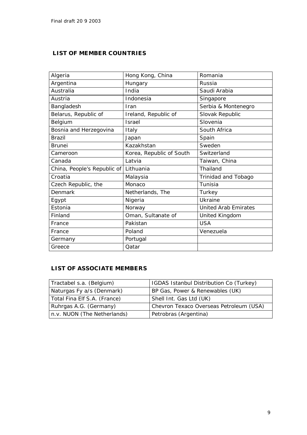# *LIST OF MEMBER COUNTRIES*

| Algeria                     | Hong Kong, China         | Romania                     |
|-----------------------------|--------------------------|-----------------------------|
| Argentina                   | Hungary                  | Russia                      |
| Australia                   | India                    | Saudi Arabia                |
| Austria                     | Indonesia                | Singapore                   |
| Bangladesh                  | Iran                     | Serbia & Montenegro         |
| Belarus, Republic of        | Ireland, Republic of     | Slovak Republic             |
| Belgium                     | <b>Israel</b>            | Slovenia                    |
| Bosnia and Herzegovina      | Italy                    | South Africa                |
| <b>Brazil</b>               | Japan                    | Spain                       |
| <b>Brunei</b>               | Kazakhstan               | Sweden                      |
| Cameroon                    | Korea, Republic of South | Switzerland                 |
| Canada                      | Latvia                   | Taiwan, China               |
| China, People's Republic of | Lithuania                | Thailand                    |
| Croatia                     | Malaysia                 | Trinidad and Tobago         |
| Czech Republic, the         | Monaco                   | Tunisia                     |
| Denmark                     | Netherlands, The         | Turkey                      |
| Egypt                       | Nigeria                  | Ukraine                     |
| Estonia                     | Norway                   | <b>United Arab Emirates</b> |
| Finland                     | Oman, Sultanate of       | United Kingdom              |
| France                      | Pakistan                 | <b>USA</b>                  |
| France                      | Poland                   | Venezuela                   |
| Germany                     | Portugal                 |                             |
| Greece                      | Qatar                    |                             |

# *LIST OF ASSOCIATE MEMBERS*

| Tractabel s.a. (Belgium)     | IGDAS Istanbul Distribution Co (Turkey) |
|------------------------------|-----------------------------------------|
| Naturgas Fy a/s (Denmark)    | BP Gas, Power & Renewables (UK)         |
| Total Fina Elf S.A. (France) | Shell Int. Gas Ltd (UK)                 |
| Ruhrgas A.G. (Germany)       | Chevron Texaco Overseas Petroleum (USA) |
| n.v. NUON (The Netherlands)  | Petrobras (Argentina)                   |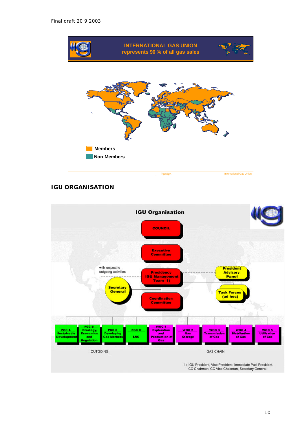

# *IGU ORGANISATION*

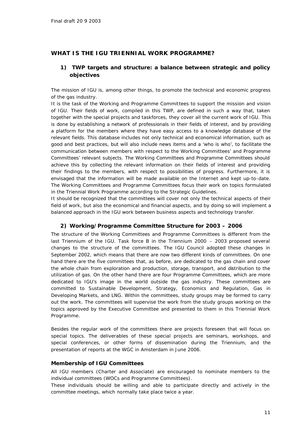# *WHAT IS THE IGU TRIENNIAL WORK PROGRAMME?*

# *1) TWP targets and structure: a balance between strategic and policy objectives*

The mission of IGU is, among other things, to promote the technical and economic progress of the gas industry.

It is the task of the Working and Programme Committees to support the mission and vision of IGU. Their fields of work, compiled in this TWP, are defined in such a way that, taken together with the special projects and taskforces, they cover all the current work of IGU. This is done by establishing a network of professionals in their fields of interest, and by providing a platform for the members where they have easy access to a knowledge database of the relevant fields. This database includes not only technical and economical information, such as good and best practices, but will also include news items and a 'who is who', to facilitate the communication between members with respect to the Working Committees' and Programme Committees' relevant subjects. The Working Committees and Programme Committees should achieve this by collecting the relevant information on their fields of interest and providing their findings to the members, with respect to possibilities of progress. Furthermore, it is envisaged that the information will be made available on the Internet and kept up-to-date. The Working Committees and Programme Committees focus their work on topics formulated in the Triennial Work Programme according to the Strategic Guidelines.

It should be recognized that the committees will cover not only the technical aspects of their field of work, but also the economical and financial aspects, and by doing so will implement a balanced approach in the IGU work between business aspects and technology transfer.

#### *2) Working/Programme Committee Structure for 2003 – 2006*

The structure of the Working Committees and Programme Committees is different from the last Triennium of the IGU. Task force B in the Triennium 2000 – 2003 proposed several changes to the structure of the committees. The IGU Council adopted these changes in September 2002, which means that there are now two different kinds of committees. On one hand there are the five committees that, as before, are dedicated to the gas chain and cover the whole chain from exploration and production, storage, transport, and distribution to the utilization of gas. On the other hand there are four Programme Committees, which are more dedicated to IGU's image in the world outside the gas industry. These committees are committed to Sustainable Development, Strategy, Economics and Regulation, Gas in Developing Markets, and LNG. Within the committees, study groups may be formed to carry out the work. The committees will supervise the work from the study groups working on the topics approved by the Executive Committee and presented to them in this Triennial Work Programme.

Besides the regular work of the committees there are projects foreseen that will focus on special topics. The deliverables of these special projects are seminars, workshops, and special conferences, or other forms of dissemination during the Triennium, and the presentation of reports at the WGC in Amsterdam in June 2006.

#### *Membership of IGU Committees*

All IGU members (Charter and Associate) are encouraged to nominate members to the individual committees (WOCs and Programme Committees).

These individuals should be willing and able to participate directly and actively in the committee meetings, which normally take place twice a year.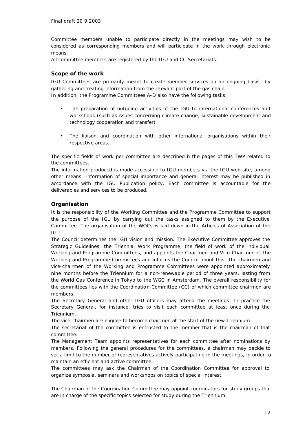Committee members unable to participate directly in the meetings may wish to be considered as corresponding members and will participate in the work through electronic means.

All committee members are registered by the IGU and CC Secretariats.

# *Scope of the work*

IGU Committees are primarily meant to create member services on an ongoing basis, by gathering and treating information from the relevant part of the gas chain. In addition, the Programme Committees A-D also have the following tasks:

- The preparation of outgoing activities of the IGU to international conferences and workshops (such as issues concerning climate change, sustainable development and technology cooperation and transfer)
- The liaison and coordination with other international organisations within their respective areas.

The specific fields of work per committee are described in the pages of this TWP related to the committees.

The information produced is made accessible to IGU members via the IGU web site, among other means. Information of special importance and general interest may be published in accordance with the IGU Publication policy. Each committee is accountable for the deliverables and services to be produced.

# *Organisation*

It is the responsibility of the Working Committee and the Programme Committee to support the purpose of the IGU by carrying out the tasks assigned to them by the Executive Committee. The organisation of the WOCs is laid down in the Articles of Association of the IGU.

The Council determines the IGU vision and mission. The Executive Committee approves the Strategic Guidelines, the Triennial Work Programme, the field of work of the individual Working and Programme Committees, and appoints the Chairmen and Vice-Chairmen of the Working and Programme Committees and informs the Council about this. The chairmen and vice-chairmen of the Working and Programme Committees were appointed approximately nine months before the Triennium for a non-renewable period of three years, lasting from the World Gas Conference in Tokyo to the WGC in Amsterdam. The overall responsibility for the committees lies with the Coordination Committee (CC) of which committee chairmen are members.

The Secretary General and other IGU officers may attend the meetings. In practice the Secretary General, for instance, tries to visit each committee at least once during the Triennium.

The vice-chairmen are eligible to become chairmen at the start of the new Triennium.

The secretariat of the committee is entrusted to the member that is the chairman of that committee.

The Management Team appoints representatives for each committee after nominations by members. Following the general procedures for the committees, a chairman may decide to set a limit to the number of representatives actively participating in the meetings, in order to maintain an efficient and active committee.

The committees may ask the Chairman of the Coordination Committee for approval to organize symposia, seminars and workshops on topics of special interest.

The Chairman of the Coordination Committee may appoint coordinators for study groups that are in charge of the specific topics selected for study during the Triennium.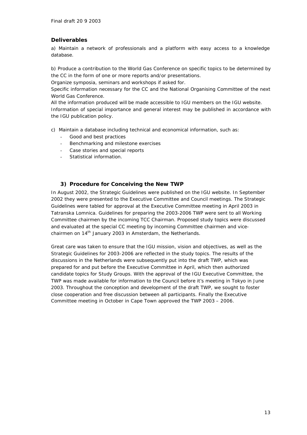# *Deliverables*

a) Maintain a network of professionals and a platform with easy access to a knowledge database.

b) Produce a contribution to the World Gas Conference on specific topics to be determined by the CC in the form of one or more reports and/or presentations.

Organize symposia, seminars and workshops if asked for.

Specific information necessary for the CC and the National Organising Committee of the next World Gas Conference.

All the information produced will be made accessible to IGU members on the IGU website.

Information of special importance and general interest may be published in accordance with the IGU publication policy.

c) Maintain a database including technical and economical information, such as:

- Good and best practices
- Benchmarking and milestone exercises
- Case stories and special reports
- Statistical information.

# *3) Procedure for Conceiving the New TWP*

In August 2002, the Strategic Guidelines were published on the IGU website. In September 2002 they were presented to the Executive Committee and Council meetings. The Strategic Guidelines were tabled for approval at the Executive Committee meeting in April 2003 in Tatranska Lomnica. Guidelines for preparing the 2003-2006 TWP were sent to all Working Committee chairmen by the incoming TCC Chairman. Proposed study topics were discussed and evaluated at the special CC meeting by incoming Committee chairmen and vicechairmen on 14<sup>th</sup> January 2003 in Amsterdam, the Netherlands.

Great care was taken to ensure that the IGU mission, vision and objectives, as well as the Strategic Guidelines for 2003-2006 are reflected in the study topics. The results of the discussions in the Netherlands were subsequently put into the draft TWP, which was prepared for and put before the Executive Committee in April, which then authorized candidate topics for Study Groups. With the approval of the IGU Executive Committee, the TWP was made available for information to the Council before it's meeting in Tokyo in June 2003. Throughout the conception and development of the draft TWP, we sought to foster close cooperation and free discussion between all participants. Finally the Executive Committee meeting in October in Cape Town approved the TWP 2003 – 2006.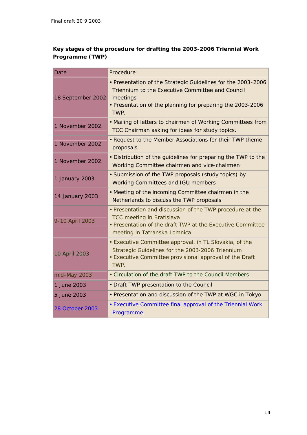# **Key stages of the procedure for drafting the 2003-2006 Triennial Work Programme (TWP)**

| Date                   | Procedure                                                                                                                                                                                          |  |
|------------------------|----------------------------------------------------------------------------------------------------------------------------------------------------------------------------------------------------|--|
| 18 September 2002      | . Presentation of the Strategic Guidelines for the 2003-2006<br>Triennium to the Executive Committee and Council<br>meetings<br>• Presentation of the planning for preparing the 2003-2006<br>TWP. |  |
| 1 November 2002        | • Mailing of letters to chairmen of Working Committees from<br>TCC Chairman asking for ideas for study topics.                                                                                     |  |
| 1 November 2002        | • Request to the Member Associations for their TWP theme<br>proposals                                                                                                                              |  |
| 1 November 2002        | • Distribution of the guidelines for preparing the TWP to the<br>Working Committee chairmen and vice-chairmen                                                                                      |  |
| 1 January 2003         | • Submission of the TWP proposals (study topics) by<br><b>Working Committees and IGU members</b>                                                                                                   |  |
| 14 January 2003        | • Meeting of the incoming Committee chairmen in the<br>Netherlands to discuss the TWP proposals                                                                                                    |  |
| 9-10 April 2003        | . Presentation and discussion of the TWP procedure at the<br><b>TCC meeting in Bratislava</b><br>• Presentation of the draft TWP at the Executive Committee<br>meeting in Tatranska Lomnica        |  |
| 10 April 2003          | • Executive Committee approval, in TL Slovakia, of the<br>Strategic Guidelines for the 2003-2006 Triennium<br>• Executive Committee provisional approval of the Draft<br>TWP.                      |  |
| mid-May 2003           | • Circulation of the draft TWP to the Council Members                                                                                                                                              |  |
| 1 June 2003            | • Draft TWP presentation to the Council                                                                                                                                                            |  |
| 5 June 2003            | • Presentation and discussion of the TWP at WGC in Tokyo                                                                                                                                           |  |
| <b>28 October 2003</b> | • Executive Committee final approval of the Triennial Work<br>Programme                                                                                                                            |  |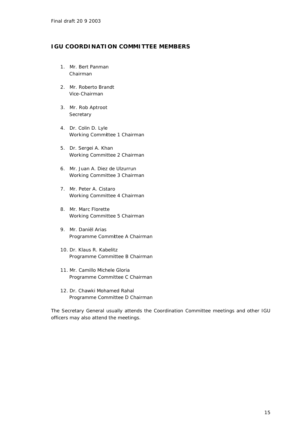# *IGU COORDINATION COMMITTEE MEMBERS*

- 1. Mr. Bert Panman Chairman
- 2. Mr. Roberto Brandt Vice-Chairman
- 3. Mr. Rob Aptroot **Secretary**
- 4. Dr. Colin D. Lyle Working Committee 1 Chairman
- 5. Dr. Sergei A. Khan Working Committee 2 Chairman
- 6. Mr. Juan A. Diez de Ulzurrun Working Committee 3 Chairman
- 7. Mr. Peter A. Cistaro Working Committee 4 Chairman
- 8. Mr. Marc Florette Working Committee 5 Chairman
- 9. Mr. Daniël Arias Programme Committee A Chairman
- 10. Dr. Klaus R. Kabelitz Programme Committee B Chairman
- 11. Mr. Camillo Michele Gloria Programme Committee C Chairman
- 12. Dr. Chawki Mohamed Rahal Programme Committee D Chairman

The Secretary General usually attends the Coordination Committee meetings and other IGU officers may also attend the meetings.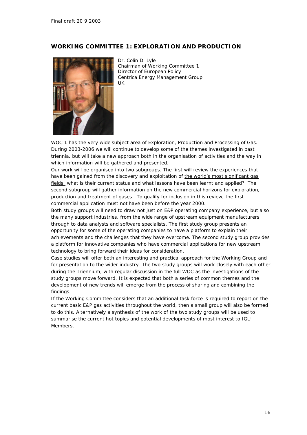# *WORKING COMMITTEE 1: EXPLORATION AND PRODUCTION*



Dr. Colin D. Lyle Chairman of Working Committee 1 Director of European Policy Centrica Energy Management Group UK

WOC 1 has the very wide subject area of Exploration, Production and Processing of Gas. During 2003-2006 we will continue to develop some of the themes investigated in past triennia, but will take a new approach both in the organisation of activities and the way in which information will be gathered and presented.

Our work will be organised into two subgroups. The first will review the experiences that have been gained from the discovery and exploitation of the world's most significant gas fields: what is their current status and what lessons have been learnt and applied? The second subgroup will gather information on the new commercial horizons for exploration, production and treatment of gases. To qualify for inclusion in this review, the first commercial application must not have been before the year 2000.

Both study groups will need to draw not just on E&P operating company experience, but also the many support industries, from the wide range of upstream equipment manufacturers through to data analysts and software specialists. The first study group presents an opportunity for some of the operating companies to have a platform to explain their achievements and the challenges that they have overcome. The second study group provides a platform for innovative companies who have commercial applications for new upstream technology to bring forward their ideas for consideration.

Case studies will offer both an interesting and practical approach for the Working Group and for presentation to the wider industry. The two study groups will work closely with each other during the Triennium, with regular discussion in the full WOC as the investigations of the study groups move forward. It is expected that both a series of common themes and the development of new trends will emerge from the process of sharing and combining the findings.

If the Working Committee considers that an additional task force is required to report on the current basic E&P gas activities throughout the world, then a small group will also be formed to do this. Alternatively a synthesis of the work of the two study groups will be used to summarise the current hot topics and potential developments of most interest to IGU Members.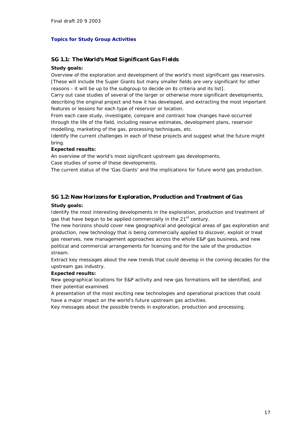#### **Topics for Study Group Activities**

# *SG 1.1: The World's Most Significant Gas Fields*

#### **Study goals:**

Overview of the exploration and development of the world's most significant gas reservoirs. [These will include the Super Giants but many smaller fields are very significant for other reasons - it will be up to the subgroup to decide on its criteria and its list].

Carry out case studies of several of the larger or otherwise more significant developments, describing the original project and how it has developed, and extracting the most important features or lessons for each type of reservoir or location.

From each case study, investigate, compare and contrast how changes have occurred through the life of the field, including reserve estimates, development plans, reservoir modelling, marketing of the gas, processing techniques, etc.

Identify the current challenges in each of these projects and suggest what the future might bring.

#### **Expected results:**

An overview of the world's most significant upstream gas developments.

Case studies of some of these developments.

The current status of the 'Gas Giants' and the implications for future world gas production.

# *SG 1.2: New Horizons for Exploration, Production and Treatment of Gas*

#### **Study goals:**

Identify the most interesting developments in the exploration, production and treatment of gas that have begun to be applied commercially in the 21<sup>st</sup> century.

The new horizons should cover new geographical and geological areas of gas exploration and production, new technology that is being commercially applied to discover, exploit or treat gas reserves, new management approaches across the whole E&P gas business, and new political and commercial arrangements for licensing and for the sale of the production stream.

Extract key messages about the new trends that could develop in the coming decades for the upstream gas industry.

#### **Expected results:**

New geographical locations for E&P activity and new gas formations will be identified, and their potential examined.

A presentation of the most exciting new technologies and operational practices that could have a major impact on the world's future upstream gas activities.

Key messages about the possible trends in exploration, production and processing.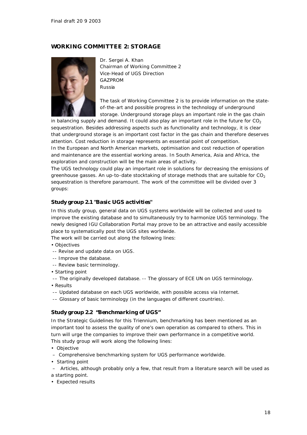# *WORKING COMMITTEE 2: STORAGE*



Dr. Sergei A. Khan Chairman of Working Committee 2 Vice-Head of UGS Direction GAZPROM Russia

The task of Working Committee 2 is to provide information on the stateof-the-art and possible progress in the technology of underground storage. Underground storage plays an important role in the gas chain

in balancing supply and demand. It could also play an important role in the future for  $CO<sub>2</sub>$ sequestration. Besides addressing aspects such as functionality and technology, it is clear that underground storage is an important cost factor in the gas chain and therefore deserves

attention. Cost reduction in storage represents an essential point of competition. In the European and North American markets, optimisation and cost reduction of operation and maintenance are the essential working areas. In South America, Asia and Africa, the exploration and construction will be the main areas of activity.

The UGS technology could play an important role in solutions for decreasing the emissions of greenhouse gasses. An up-to-date stocktaking of storage methods that are suitable for  $CO<sub>2</sub>$ sequestration is therefore paramount. The work of the committee will be divided over 3 groups:

# *Study group 2.1 "Basic UGS activities"*

In this study group, general data on UGS systems worldwide will be collected and used to improve the existing database and to simultaneously try to harmonize UGS terminology. The newly designed IGU Collaboration Portal may prove to be an attractive and easily accessible place to systematically post the UGS sites worldwide.

The work will be carried out along the following lines:

- *Objectives*
- -- Revise and update data on UGS.
- -- Improve the database.
- -- Review basic terminology.
- *Starting point*
- -- The originally developed database. -- The glossary of ECE UN on UGS terminology.
- *Results*
- -– Updated database on each UGS worldwide, with possible access via Internet.
- -– Glossary of basic terminology (in the languages of different countries).

#### *Study group 2.2 "Benchmarking of UGS"*

In the Strategic Guidelines for this Triennium, benchmarking has been mentioned as an important tool to assess the quality of one's own operation as compared to others. This in turn will urge the companies to improve their own performance in a competitive world. This study group will work along the following lines:

- *Objective*
- Comprehensive benchmarking system for UGS performance worldwide.
- *Starting point*

– Articles, although probably only a few, that result from a literature search will be used as a starting point.

*• Expected results*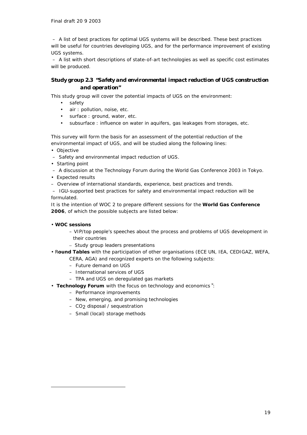– A list of best practices for optimal UGS systems will be described. These best practices will be useful for countries developing UGS, and for the performance improvement of existing UGS systems.

– A list with short descriptions of state-of-art technologies as well as specific cost estimates will be produced.

# *Study group 2.3 "Safety and environmental impact reduction of UGS construction and operation"*

This study group will cover the potential impacts of UGS on the environment:

- safety
- air: pollution, noise, etc.
- surface: ground, water, etc.
- subsurface : influence on water in aquifers, gas leakages from storages, etc.

This survey will form the basis for an assessment of the potential reduction of the environmental impact of UGS, and will be studied along the following lines:

*• Objective*

- Safety and environmental impact reduction of UGS.
- *Starting point*
- A discussion at the Technology Forum during the World Gas Conference 2003 in Tokyo.
- *Expected results*
- Overview of international standards, experience, best practices and trends.

– IGU-supported best practices for safety and environmental impact reduction will be formulated.

It is the intention of WOC 2 to prepare different sessions for the **World Gas Conference 2006**, of which the possible subjects are listed below:

#### • **WOC sessions**

ł

- VIP/top people's speeches about the process and problems of UGS development in their countries
- Study group leaders presentations
- R**ound Tables** with the participation of other organisations (ECE UN, IEA, CEDIGAZ, WEFA, CERA, AGA) and recognized experts on the following subjects:
	- Future demand on UGS
	- International services of UGS
	- TPA and UGS on deregulated gas markets
- **Technology Forum** with the focus on technology and economics **´** :
	- Performance improvements
	- New, emerging, and promising technologies
	- CO2 disposal / sequestration
	- Small (local) storage methods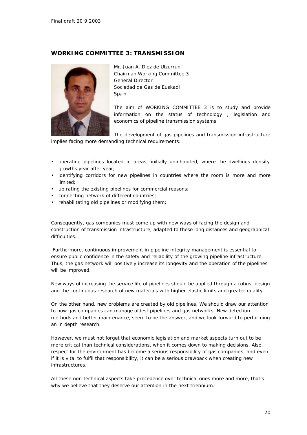# *WORKING COMMITTEE 3: TRANSMISSION*



Mr. Juan A. Diez de Ulzurrun Chairman Working Committee 3 General Director Sociedad de Gas de Euskadi **Spain** 

The aim of WORKING COMMITTEE 3 is to study and provide information on the status of technology , legislation and economics of pipeline transmission systems.

The development of gas pipelines and transmission infrastructure implies facing more demanding technical requirements:

- operating pipelines located in areas, initially uninhabited, where the dwellings density growths year after year;
- identifying corridors for new pipelines in countries where the room is more and more limited;
- up rating the existing pipelines for commercial reasons;
- connecting network of different countries;
- rehabilitating old pipelines or modifying them;

Consequently, gas companies must come up with new ways of facing the design and construction of transmission infrastructure, adapted to these long distances and geographical difficulties.

 Furthermore, continuous improvement in pipeline integrity management is essential to ensure public confidence in the safety and reliability of the growing pipeline infrastructure. Thus, the gas network will positively increase its longevity and the operation of the pipelines will be improved.

New ways of increasing the service life of pipelines should be applied through a robust design and the continuous research of new materials with higher elastic limits and greater quality.

On the other hand, new problems are created by old pipelines. We should draw our attention to how gas companies can manage oldest pipelines and gas networks. New detection methods and better maintenance, seem to be the answer, and we look forward to performing an in depth research.

However, we must not forget that economic legislation and market aspects turn out to be more critical than technical considerations, when it comes down to making decisions. Also, respect for the environment has become a serious responsibility of gas companies, and even if it is vital to fulfil that responsibility, it can be a serious drawback when creating new infrastructures.

All these non-technical aspects take precedence over technical ones more and more, that's why we believe that they deserve our attention in the next triennium.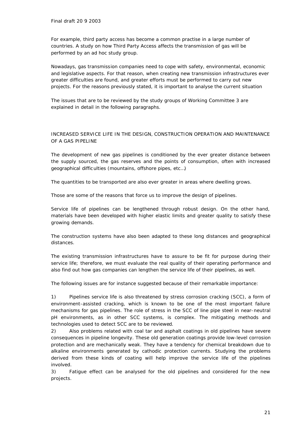For example, third party access has become a common practise in a large number of countries. A study on how Third Party Access affects the transmission of gas will be performed by an ad hoc study group.

Nowadays, gas transmission companies need to cope with safety, environmental, economic and legislative aspects. For that reason, when creating new transmission infrastructures ever greater difficulties are found, and greater efforts must be performed to carry out new projects. For the reasons previously stated, it is important to analyse the current situation

The issues that are to be reviewed by the study groups of Working Committee 3 are explained in detail in the following paragraphs.

#### INCREASED SERVICE LIFE IN THE DESIGN, CONSTRUCTION OPERATION AND MAINTENANCE OF A GAS PIPELINE

The development of new gas pipelines is conditioned by the ever greater distance between the supply sourced, the gas reserves and the points of consumption, often with increased geographical difficulties (mountains, offshore pipes, etc…)

The quantities to be transported are also ever greater in areas where dwelling grows.

Those are some of the reasons that force us to improve the design of pipelines.

Service life of pipelines can be lengthened through robust design. On the other hand, materials have been developed with higher elastic limits and greater quality to satisfy these growing demands.

The construction systems have also been adapted to these long distances and geographical distances.

The existing transmission infrastructures have to assure to be fit for purpose during their service life; therefore, we must evaluate the real quality of their operating performance and also find out how gas companies can lengthen the service life of their pipelines, as well.

The following issues are for instance suggested because of their remarkable importance:

1) Pipelines service life is also threatened by stress corrosion cracking (SCC), a form of environment-assisted cracking, which is known to be one of the most important failure mechanisms for gas pipelines. The role of stress in the SCC of line pipe steel in near-neutral pH environments, as in other SCC systems, is complex. The mitigating methods and technologies used to detect SCC are to be reviewed.

2) Also problems related with coal tar and asphalt coatings in old pipelines have severe consequences in pipeline longevity. These old generation coatings provide low-level corrosion protection and are mechanically weak. They have a tendency for chemical breakdown due to alkaline environments generated by cathodic protection currents. Studying the problems derived from these kinds of coating will help improve the service life of the pipelines involved.

3) Fatigue effect can be analysed for the old pipelines and considered for the new projects.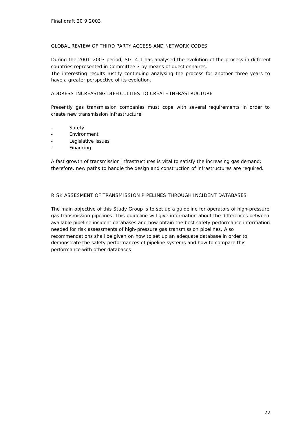#### GLOBAL REVIEW OF THIRD PARTY ACCESS AND NETWORK CODES

During the 2001–2003 period, SG. 4.1 has analysed the evolution of the process in different countries represented in Committee 3 by means of questionnaires.

The interesting results justify continuing analysing the process for another three years to have a greater perspective of its evolution.

#### ADDRESS INCREASING DIFFICULTIES TO CREATE INFRASTRUCTURE

Presently gas transmission companies must cope with several requirements in order to create new transmission infrastructure:

- **Safety**
- **Environment**
- Legislative issues
- **Financing**

A fast growth of transmission infrastructures is vital to satisfy the increasing gas demand; therefore, new paths to handle the design and construction of infrastructures are required.

#### RISK ASSESMENT OF TRANSMISSION PIPELINES THROUGH INCIDENT DATABASES

The main objective of this Study Group is to set up a guideline for operators of high-pressure gas transmission pipelines. This guideline will give information about the differences between available pipeline incident databases and how obtain the best safety performance information needed for risk assessments of high-pressure gas transmission pipelines. Also recommendations shall be given on how to set up an adequate database in order to demonstrate the safety performances of pipeline systems and how to compare this performance with other databases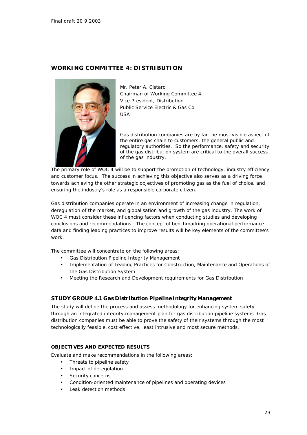# *WORKING COMMITTEE 4: DISTRIBUTION*



Mr. Peter A. Cistaro Chairman of Working Committee 4 Vice President, Distribution Public Service Electric & Gas Co USA

Gas distribution companies are by far the most visible aspect of the entire gas chain to customers, the general public and regulatory authorities. So the performance, safety and security of the gas distribution system are critical to the overall success of the gas industry.

The primary role of WOC 4 will be to support the promotion of technology, industry efficiency and customer focus. The success in achieving this objective also serves as a driving force towards achieving the other strategic objectives of promoting gas as the fuel of choice, and ensuring the industry's role as a responsible corporate citizen.

Gas distribution companies operate in an environment of increasing change in regulation, deregulation of the market, and globalisation and growth of the gas industry. The work of WOC 4 must consider these influencing factors when conducting studies and developing conclusions and recommendations. The concept of benchmarking operational performance data and finding leading practices to improve results will be key elements of the committee's work.

The committee will concentrate on the following areas:

- Gas Distribution Pipeline Integrity Management
- Implementation of Leading Practices for Construction, Maintenance and Operations of the Gas Distribution System
- Meeting the Research and Development requirements for Gas Distribution

#### *STUDY GROUP 4.1 Gas Distribution Pipeline Integrity Management*

The study will define the process and assess methodology for enhancing system safety through an integrated integrity management plan for gas distribution pipeline systems. Gas distribution companies must be able to prove the safety of their systems through the most technologically feasible, cost effective, least intrusive and most secure methods.

#### *OBJECTIVES AND EXPECTED RESULTS*

Evaluate and make recommendations in the following areas:

- Threats to pipeline safety
- Impact of deregulation
- Security concerns
- Condition-oriented maintenance of pipelines and operating devices
- Leak detection methods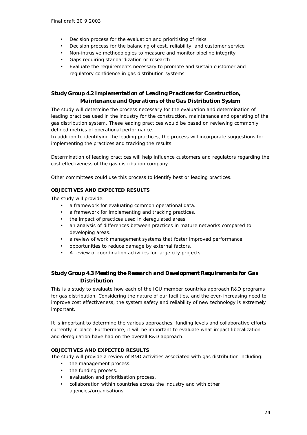- Decision process for the evaluation and prioritising of risks
- Decision process for the balancing of cost, reliability, and customer service
- Non-intrusive methodologies to measure and monitor pipeline integrity
- Gaps requiring standardization or research
- Evaluate the requirements necessary to promote and sustain customer and regulatory confidence in gas distribution systems

# *Study Group 4.2 Implementation of Leading Practices for Construction, Maintenance and Operations of the Gas Distribution System*

The study will determine the process necessary for the evaluation and determination of leading practices used in the industry for the construction, maintenance and operating of the gas distribution system. These leading practices would be based on reviewing commonly defined metrics of operational performance.

In addition to identifying the leading practices, the process will incorporate suggestions for implementing the practices and tracking the results.

Determination of leading practices will help influence customers and regulators regarding the cost effectiveness of the gas distribution company.

Other committees could use this process to identify best or leading practices.

#### *OBJECTIVES AND EXPECTED RESULTS*

The study will provide:

- a framework for evaluating common operational data.
- a framework for implementing and tracking practices.
- the impact of practices used in deregulated areas.
- an analysis of differences between practices in mature networks compared to developing areas.
- a review of work management systems that foster improved performance.
- opportunities to reduce damage by external factors.
- A review of coordination activities for large city projects.

# *Study Group 4.3 Meeting the Research and Development Requirements for Gas Distribution*

This is a study to evaluate how each of the IGU member countries approach R&D programs for gas distribution. Considering the nature of our facilities, and the ever-increasing need to improve cost effectiveness, the system safety and reliability of new technology is extremely important.

It is important to determine the various approaches, funding levels and collaborative efforts currently in place. Furthermore, it will be important to evaluate what impact liberalization and deregulation have had on the overall R&D approach.

# **OBJECTIVES AND EXPECTED RESULTS**

The study will provide a review of R&D activities associated with gas distribution including:

- the management process.
- the funding process.
- evaluation and prioritisation process.
- collaboration within countries across the industry and with other agencies/organisations.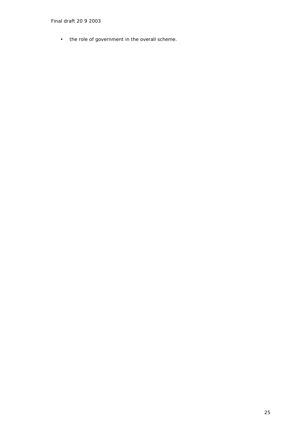• the role of government in the overall scheme.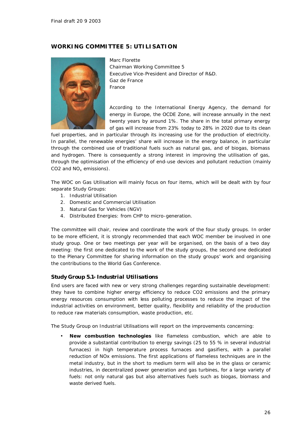# *WORKING COMMITTEE 5: UTILISATION*



Marc Florette Chairman Working Committee 5 Executive Vice-President and Director of R&D. Gaz de France France

According to the International Energy Agency, the demand for energy in Europe, the OCDE Zone, will increase annually in the next twenty years by around 1%. The share in the total primary energy of gas will increase from 23% today to 28% in 2020 due to its clean

fuel properties, and in particular through its increasing use for the production of electricity. In parallel, the renewable energies' share will increase in the energy balance, in particular through the combined use of traditional fuels such as natural gas, and of biogas, biomass and hydrogen. There is consequently a strong interest in improving the utilisation of gas, through the optimisation of the efficiency of end-use devices and pollutant reduction (mainly CO2 and  $NO_x$  emissions).

The WOC on Gas Utilisation will mainly focus on four items, which will be dealt with by four separate Study Groups:

- 1. Industrial Utilisation
- 2. Domestic and Commercial Utilisation
- 3. Natural Gas for Vehicles (NGV)
- 4. Distributed Energies: from CHP to micro-generation.

The committee will chair, review and coordinate the work of the four study groups. In order to be more efficient, it is strongly recommended that each WOC member be involved in one study group. One or two meetings per year will be organised, on the basis of a two day meeting: the first one dedicated to the work of the study groups, the second one dedicated to the Plenary Committee for sharing information on the study groups' work and organising the contributions to the World Gas Conference.

#### *Study Group 5.1- Industrial Utilisations*

End users are faced with new or very strong challenges regarding sustainable development: they have to combine higher energy efficiency to reduce CO2 emissions and the primary energy resources consumption with less polluting processes to reduce the impact of the industrial activities on environment, better quality, flexibility and reliability of the production to reduce raw materials consumption, waste production, etc.

The Study Group on Industrial Utilisations will report on the improvements concerning:

• **New combustion technologies** like flameless combustion, which are able to provide a substantial contribution to energy savings (25 to 55 % in several industrial furnaces) in high temperature process furnaces and gasifiers, with a parallel reduction of NOx emissions. The first applications of flameless techniques are in the metal industry, but in the short to medium term will also be in the glass or ceramic industries, in decentralized power generation and gas turbines, for a large variety of fuels: not only natural gas but also alternatives fuels such as biogas, biomass and waste derived fuels.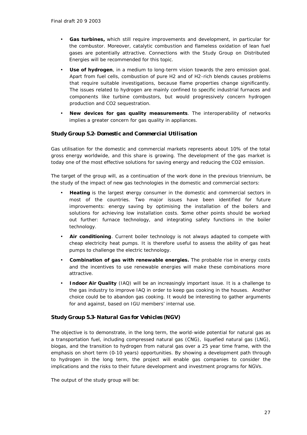- **Gas turbines,** which still require improvements and development, in particular for the combustor. Moreover, catalytic combustion and flameless oxidation of lean fuel gases are potentially attractive. Connections with the Study Group on Distributed Energies will be recommended for this topic.
- **Use of hydrogen**, in a medium to long-term vision towards the zero emission goal. Apart from fuel cells, combustion of pure H2 and of H2-rich blends causes problems that require suitable investigations, because flame properties change significantly. The issues related to hydrogen are mainly confined to specific industrial furnaces and components like turbine combustors, but would progressively concern hydrogen production and CO2 sequestration.
- **New devices for gas quality measurements**. The interoperability of networks implies a greater concern for gas quality in appliances.

#### *Study Group 5.2- Domestic and Commercial Utilisation*

Gas utilisation for the domestic and commercial markets represents about 10% of the total gross energy worldwide, and this share is growing. The development of the gas market is today one of the most effective solutions for saving energy and reducing the CO2 emission.

The target of the group will, as a continuation of the work done in the previous triennium, be the study of the impact of new gas technologies in the domestic and commercial sectors:

- **Heating** is the largest energy consumer in the domestic and commercial sectors in most of the countries. Two major issues have been identified for future improvements: energy saving by optimising the installation of the boilers and solutions for achieving low installation costs. Some other points should be worked out further: furnace technology, and integrating safety functions in the boiler technology.
- **Air conditioning**. Current boiler technology is not always adapted to compete with cheap electricity heat pumps. It is therefore useful to assess the ability of gas heat pumps to challenge the electric technology.
- **Combination of gas with renewable energies.** The probable rise in energy costs and the incentives to use renewable energies will make these combinations more attractive.
- **Indoor Air Quality** (IAQ) will be an increasingly important issue. It is a challenge to the gas industry to improve IAQ in order to keep gas cooking in the houses. Another choice could be to abandon gas cooking. It would be interesting to gather arguments for and against, based on IGU members' internal use.

# *Study Group 5.3- Natural Gas for Vehicles (NGV)*

The objective is to demonstrate, in the long term, the world-wide potential for natural gas as a transportation fuel, including compressed natural gas (CNG), liquefied natural gas (LNG), biogas, and the transition to hydrogen from natural gas over a 25 year time frame, with the emphasis on short term (0-10 years) opportunities. By showing a development path through to hydrogen in the long term, the project will enable gas companies to consider the implications and the risks to their future development and investment programs for NGVs.

The output of the study group will be: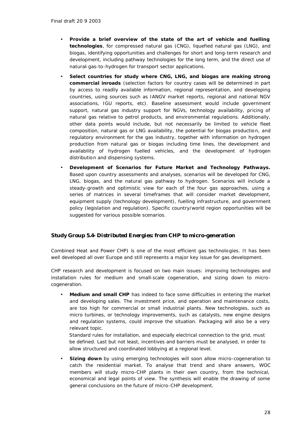- **Provide a brief overview of the state of the art of vehicle and fuelling technologies**, for compressed natural gas (CNG), liquefied natural gas (LNG), and biogas, identifying opportunities and challenges for short and long-term research and development, including pathway technologies for the long term, and the direct use of natural-gas-to-hydrogen for transport sector applications.
- **Select countries for study where CNG, LNG, and biogas are making strong commercial inroads** (selection factors for country cases will be determined in part by access to readily available information, regional representation, and developing countries, using sources such as IANGV market reports, regional and national NGV associations, IGU reports, etc). Baseline assessment would include government support, natural gas industry support for NGVs, technology availability, pricing of natural gas relative to petrol products, and environmental regulations. Additionally, other data points would include, but not necessarily be limited to vehicle fleet composition, natural gas or LNG availability, the potential for biogas production, and regulatory environment for the gas industry, together with information on hydrogen production from natural gas or biogas including time lines, the development and availability of hydrogen fuelled vehicles, and the development of hydrogen distribution and dispensing systems.
- **Development of Scenarios for Future Market and Technology Pathways.** Based upon country assessments and analyses, scenarios will be developed for CNG, LNG, biogas, and the natural gas pathway to hydrogen. Scenarios will include a steady-growth and optimistic view for each of the four gas approaches, using a series of matrices in several timeframes that will consider market development, equipment supply (technology development), fuelling infrastructure, and government policy (legislation and regulation). Specific country/world region opportunities will be suggested for various possible scenarios.

# *Study Group 5.4- Distributed Energies: from CHP to micro-generation*

Combined Heat and Power CHP) is one of the most efficient gas technologies. It has been well developed all over Europe and still represents a major key issue for gas development.

CHP research and development is focused on two main issues: improving technologies and installation rules for medium and small-scale cogeneration, and sizing down to microcogeneration.

• **Medium and small CHP** has indeed to face some difficulties in entering the market and developing sales. The investment price, and operation and maintenance costs, are too high for commercial or small industrial plants. New technologies, such as micro turbines, or technology improvements, such as catalysts, new engine designs and regulation systems, could improve the situation. Packaging will also be a very relevant topic.

Standard rules for installation, and especially electrical connection to the grid, must be defined. Last but not least, incentives and barriers must be analysed, in order to allow structured and coordinated lobbying at a regional level.

**Sizing down** by using emerging technologies will soon allow micro-cogeneration to catch the residential market. To analyse that trend and share answers, WOC members will study micro-CHP plants in their own country, from the technical, economical and legal points of view. The synthesis will enable the drawing of some general conclusions on the future of micro-CHP development.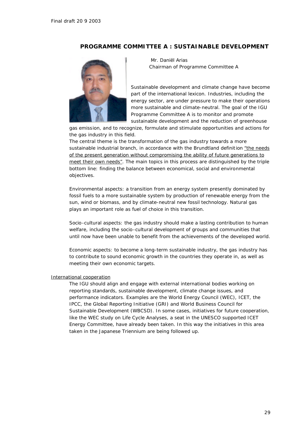# *PROGRAMME COMMITTEE A : SUSTAINABLE DEVELOPMENT*



 Mr. Daniël Arias Chairman of Programme Committee A

Sustainable development and climate change have become part of the international lexicon. Industries, including the energy sector, are under pressure to make their operations more sustainable and climate-neutral. The goal of the IGU Programme Committee A is to monitor and promote sustainable development and the reduction of greenhouse

gas emission, and to recognize, formulate and stimulate opportunities and actions for the gas industry in this field.

The central theme is the transformation of the gas industry towards a more sustainable industrial branch, in accordance with the Brundtland definition *"the needs of the present generation without compromising the ability of future generations to meet their own needs"*. The main topics in this process are distinguished by the triple bottom line: finding the balance between economical, social and environmental objectives.

Environmental aspects: a transition from an energy system presently dominated by fossil fuels to a more sustainable system by production of renewable energy from the sun, wind or biomass, and by climate-neutral new fossil technology. Natural gas plays an important role as fuel of choice in this transition.

Socio-cultural aspects: the gas industry should make a lasting contribution to human welfare, including the socio-cultural development of groups and communities that until now have been unable to benefit from the achievements of the developed world.

Economic aspects: to become a long-term sustainable industry, the gas industry has to contribute to sound economic growth in the countries they operate in, as well as meeting their own economic targets.

#### International cooperation

The IGU should align and engage with external international bodies working on reporting standards, sustainable development, climate change issues, and performance indicators. Examples are the World Energy Council (WEC), ICET, the IPCC, the Global Reporting Initiative (GRI) and World Business Council for Sustainable Development (WBCSD). In some cases, initiatives for future cooperation, like the WEC study on Life Cycle Analyses, a seat in the UNESCO supported ICET Energy Committee, have already been taken. In this way the initiatives in this area taken in the Japanese Triennium are being followed up.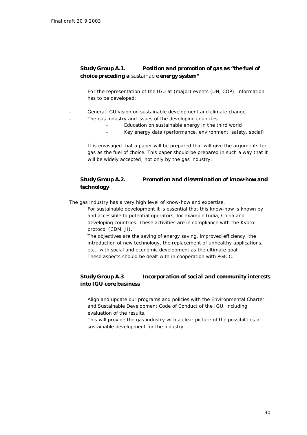# *Study Group A.1. Position and promotion of gas as "the fuel of choice preceding a sustainable energy system"*

For the representation of the IGU at (major) events (UN, COP), information has to be developed:

- General IGU vision on sustainable development and climate change The gas industry and issues of the developing countries
	- Education on sustainable energy in the third world
	- Key energy data (performance, environment, safety, social)

It is envisaged that a paper will be prepared that will give the arguments for gas as the fuel of choice. This paper should be prepared in such a way that it will be widely accepted, not only by the gas industry.

# *Study Group A.2. Promotion and dissemination of know-how and technology*

The gas industry has a very high level of know-how and expertise.

For sustainable development it is essential that this know-how is known by and accessible to potential operators, for example India, China and developing countries. These activities are in compliance with the Kyoto protocol (CDM, JI).

The objectives are the saving of energy saving, improved efficiency, the introduction of new technology, the replacement of unhealthy applications, etc., with social and economic development as the ultimate goal. These aspects should be dealt with in cooperation with PGC C.

# *Study Group A.3 Incorporation of social and community interests into IGU core business*

Align and update our programs and policies with the Environmental Charter and Sustainable Development Code of Conduct of the IGU, including evaluation of the results.

This will provide the gas industry with a clear picture of the possibilities of sustainable development for the industry.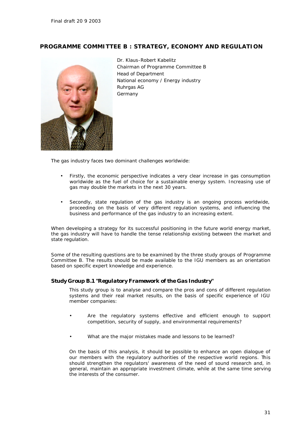# *PROGRAMME COMMITTEE B : STRATEGY, ECONOMY AND REGULATION*

![](_page_30_Picture_2.jpeg)

Dr. Klaus-Robert Kabelitz Chairman of Programme Committee B Head of Department National economy / Energy industry Ruhrgas AG Germany

The gas industry faces two dominant challenges worldwide:

- Firstly, the economic perspective indicates a very clear increase in gas consumption worldwide as the fuel of choice for a sustainable energy system. Increasing use of gas may double the markets in the next 30 years.
- Secondly, state regulation of the gas industry is an ongoing process worldwide, proceeding on the basis of very different regulation systems, and influencing the business and performance of the gas industry to an increasing extent.

When developing a strategy for its successful positioning in the future world energy market, the gas industry will have to handle the tense relationship existing between the market and state regulation.

Some of the resulting questions are to be examined by the three study groups of Programme Committee B. The results should be made available to the IGU members as an orientation based on specific expert knowledge and experience.

#### *Study Group B.1 "Regulatory Framework of the Gas Industry"*

This study group is to analyse and compare the pros and cons of different regulation systems and their real market results, on the basis of specific experience of IGU member companies:

- Are the regulatory systems effective and efficient enough to support competition, security of supply, and environmental requirements?
- What are the major mistakes made and lessons to be learned?

On the basis of this analysis, it should be possible to enhance an open dialogue of our members with the regulatory authorities of the respective world regions. This should strengthen the regulators' awareness of the need of sound research and, in general, maintain an appropriate investment climate, while at the same time serving the interests of the consumer.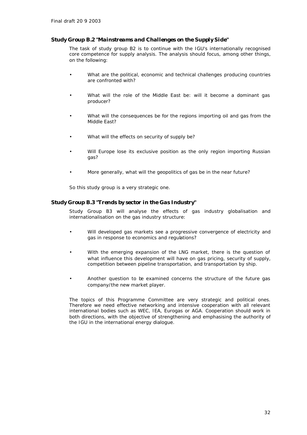#### *Study Group B.2 "Mainstreams and Challenges on the Supply Side"*

The task of study group B2 is to continue with the IGU's internationally recognised core competence for supply analysis. The analysis should focus, among other things, on the following:

- What are the political, economic and technical challenges producing countries are confronted with?
- What will the role of the Middle East be: will it become a dominant gas producer?
- What will the consequences be for the regions importing oil and gas from the Middle East?
- What will the effects on security of supply be?
- Will Europe lose its exclusive position as the only region importing Russian gas?
- More generally, what will the geopolitics of gas be in the near future?

So this study group is a very strategic one.

#### *Study Group B.3 "Trends by sector in the Gas Industry"*

Study Group B3 will analyse the effects of gas industry globalisation and internationalisation on the gas industry structure:

- Will developed gas markets see a progressive convergence of electricity and gas in response to economics and regulations?
- With the emerging expansion of the LNG market, there is the question of what influence this development will have on gas pricing, security of supply, competition between pipeline transportation, and transportation by ship.
- Another question to be examined concerns the structure of the future gas company/the new market player.

The topics of this Programme Committee are very strategic and political ones. Therefore we need effective networking and intensive cooperation with all relevant international bodies such as WEC, IEA, Eurogas or AGA. Cooperation should work in both directions, with the objective of strengthening and emphasising the authority of the IGU in the international energy dialogue.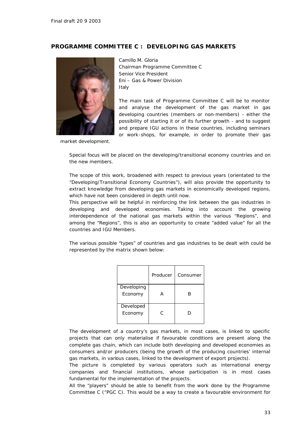# *PROGRAMME COMMITTEE C : DEVELOPING GAS MARKETS*

![](_page_32_Picture_2.jpeg)

Camillo M. Gloria Chairman Programme Committee C Senior Vice President Eni – Gas & Power Division Italy

The main task of Programme Committee C will be to monitor and analyse the development of the gas market in gas developing countries (members or non-members) - either the possibility of starting it or of its further growth - and to suggest and prepare IGU actions in these countries, including seminars or work-shops, for example, in order to promote their gas

market development.

Special focus will be placed on the developing/transitional economy countries and on the new members.

The scope of this work, broadened with respect to previous years (orientated to the "Developing/Transitional Economy Countries"), will also provide the opportunity to extract knowledge from developing gas markets in economically developed regions, which have not been considered in depth until now.

This perspective will be helpful in reinforcing the link between the gas industries in developing and developed economies. Taking into account the growing interdependence of the national gas markets within the various "Regions", and among the "Regions", this is also an opportunity to create "added value" for all the countries and IGU Members.

The various possible "types" of countries and gas industries to be dealt with could be represented by the matrix shown below:

|                       | Producer | Consumer |
|-----------------------|----------|----------|
| Developing<br>Economy |          | R        |
| Developed<br>Economy  | C        | Γ.       |

The development of a country's gas markets, in most cases, is linked to specific projects that can only materialise if favourable conditions are present along the complete gas chain, which can include both developing and developed economies as consumers and/or producers (being the growth of the producing countries' internal gas markets, in various cases, linked to the development of export projects).

The picture is completed by various operators such as international energy companies and financial institutions, whose participation is in most cases fundamental for the implementation of the projects.

All the "players" should be able to benefit from the work done by the Programme Committee C ("PGC C). This would be a way to create a favourable environment for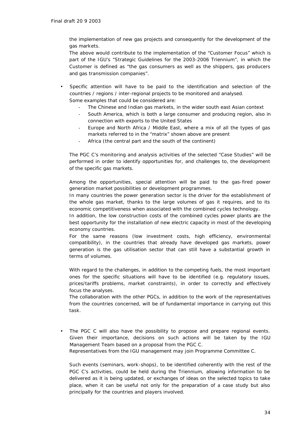the implementation of new gas projects and consequently for the development of the gas markets.

The above would contribute to the implementation of the "Customer Focus" which is part of the IGU's "Strategic Guidelines for the 2003-2006 Triennium", in which the Customer is defined as "the gas consumers as well as the shippers, gas producers and gas transmission companies".

- Specific attention will have to be paid to the identification and selection of the countries / regions / inter-regional projects to be monitored and analysed. Some examples that could be considered are:
	- The Chinese and Indian gas markets, in the wider south east Asian context
	- South America, which is both a large consumer and producing region, also in connection with exports to the United States
	- Europe and North Africa / Middle East, where a mix of all the types of gas markets referred to in the "matrix" shown above are present
	- Africa (the central part and the south of the continent)

The PGC C's monitoring and analysis activities of the selected "Case Studies" will be performed in order to identify opportunities for, and challenges to, the development of the specific gas markets.

Among the opportunities, special attention will be paid to the gas-fired power generation market possibilities or development programmes.

In many countries the power generation sector is the driver for the establishment of the whole gas market, thanks to the large volumes of gas it requires, and to its economic competitiveness when associated with the combined cycles technology.

In addition, the low construction costs of the combined cycles power plants are the best opportunity for the installation of new electric capacity in most of the developing economy countries.

For the same reasons (low investment costs, high efficiency, environmental compatibility), in the countries that already have developed gas markets, power generation is the gas utilisation sector that can still have a substantial growth in terms of volumes.

With regard to the challenges, in addition to the competing fuels, the most important ones for the specific situations will have to be identified (e.g. regulatory issues, prices/tariffs problems, market constraints), in order to correctly and effectively focus the analyses.

The collaboration with the other PGCs, in addition to the work of the representatives from the countries concerned, will be of fundamental importance in carrying out this task.

The PGC C will also have the possibility to propose and prepare regional events. Given their importance, decisions on such actions will be taken by the IGU Management Team based on a proposal from the PGC C. Representatives from the IGU management may join Programme Committee C.

Such events (seminars, work-shops), to be identified coherently with the rest of the PGC C's activities, could be held during the Triennium, allowing information to be delivered as it is being updated, or exchanges of ideas on the selected topics to take place, when it can be useful not only for the preparation of a case study but also principally for the countries and players involved.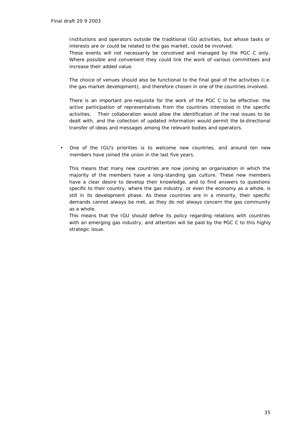Institutions and operators outside the traditional IGU activities, but whose tasks or interests are or could be related to the gas market, could be involved.

These events will not necessarily be conceived and managed by the PGC C only. Where possible and convenient they could link the work of various committees and increase their added value.

The choice of venues should also be functional to the final goal of the activities (i.e. the gas market development), and therefore chosen in one of the countries involved.

There is an important pre-requisite for the work of the PGC C to be effective: the active participation of representatives from the countries interested in the specific activities. Their collaboration would allow the identification of the real issues to be dealt with, and the collection of updated information would permit the bi-directional transfer of ideas and messages among the relevant bodies and operators.

• One of the IGU's priorities is to welcome new countries, and around ten new members have joined the union in the last five years.

This means that many new countries are now joining an organisation in which the majority of the members have a long-standing gas culture. These new members have a clear desire to develop their knowledge, and to find answers to questions specific to their country, where the gas industry, or even the economy as a whole, is still in its development phase. As these countries are in a minority, their specific demands cannot always be met, as they do not always concern the gas community as a whole.

This means that the IGU should define its policy regarding relations with countries with an emerging gas industry, and attention will be paid by the PGC C to this highly strategic issue.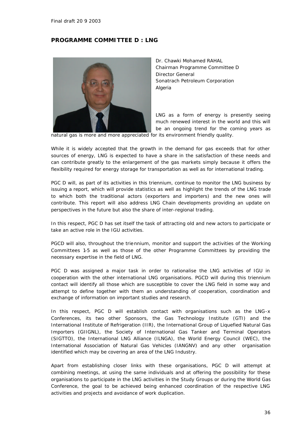# *PROGRAMME COMMITTEE D : LNG*

![](_page_35_Picture_2.jpeg)

Dr. Chawki Mohamed RAHAL Chairman Programme Committee D Director General Sonatrach Petroleum Corporation Algeria

LNG as a form of energy is presently seeing much renewed interest in the world and this will be an ongoing trend for the coming years as

natural gas is more and more appreciated for its environment friendly quality.

While it is widely accepted that the growth in the demand for gas exceeds that for other sources of energy, LNG is expected to have a share in the satisfaction of these needs and can contribute greatly to the enlargement of the gas markets simply because it offers the flexibility required for energy storage for transportation as well as for international trading.

PGC D will, as part of its activities in this triennium, continue to monitor the LNG business by issuing a report, which will provide statistics as well as highlight the trends of the LNG trade to which both the traditional actors (exporters and importers) and the new ones will contribute. This report will also address LNG Chain developments providing an update on perspectives in the future but also the share of inter-regional trading.

In this respect, PGC D has set itself the task of attracting old and new actors to participate or take an active role in the IGU activities.

PGCD will also, throughout the triennium, monitor and support the activities of the Working Committees 1-5 as well as those of the other Programme Committees by providing the necessary expertise in the field of LNG.

PGC D was assigned a major task in order to rationalise the LNG activities of IGU in cooperation with the other international LNG organisations. PGCD will during this triennium contact will identify all those which are susceptible to cover the LNG field in some way and attempt to define together with them an understanding of cooperation, coordination and exchange of information on important studies and research.

In this respect, PGC D will establish contact with organisations such as the LNG-x Conferences, its two other Sponsors, the Gas Technology Institute (GTI) and the International Institute of Refrigeration (IIR), the International Group of Liquefied Natural Gas Importers (GIIGNL), the Society of International Gas Tanker and Terminal Operators (SIGTTO), the International LNG Alliance (ILNGA), the World Energy Council (WEC), the International Association of Natural Gas Vehicles (IANGNV) and any other organisation identified which may be covering an area of the LNG Industry.

Apart from establishing closer links with these organisations, PGC D will attempt at combining meetings, at using the same individuals and at offering the possibility for these organisations to participate in the LNG activities in the Study Groups or during the World Gas Conference, the goal to be achieved being enhanced coordination of the respective LNG activities and projects and avoidance of work duplication.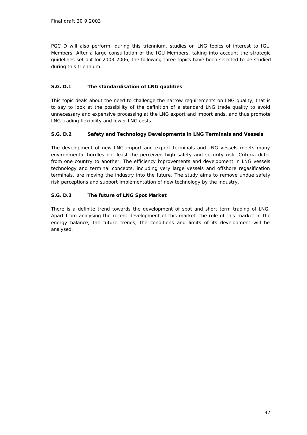PGC D will also perform, during this triennium, studies on LNG topics of interest to IGU Members. After a large consultation of the IGU Members, taking into account the strategic guidelines set out for 2003-2006, the following three topics have been selected to be studied during this triennium.

# **S.G. D.1 The standardisation of LNG qualities**

This topic deals about the need to challenge the narrow requirements on LNG quality, that is to say to look at the possibility of the definition of a standard LNG trade quality to avoid unnecessary and expensive processing at the LNG export and import ends, and thus promote LNG trading flexibility and lower LNG costs.

# **S.G. D.2 Safety and Technology Developments in LNG Terminals and Vessels**

The development of new LNG import and export terminals and LNG vessels meets many environmental hurdles not least the perceived high safety and security risk. Criteria differ from one country to another. The efficiency improvements and development in LNG vessels technology and terminal concepts, including very large vessels and offshore regasification terminals, are moving the industry into the future. The study aims to remove undue safety risk perceptions and support implementation of new technology by the industry.

# **S.G. D.3 The future of LNG Spot Market**

There is a definite trend towards the development of spot and short term trading of LNG. Apart from analysing the recent development of this market, the role of this market in the energy balance, the future trends, the conditions and limits of its development will be analysed.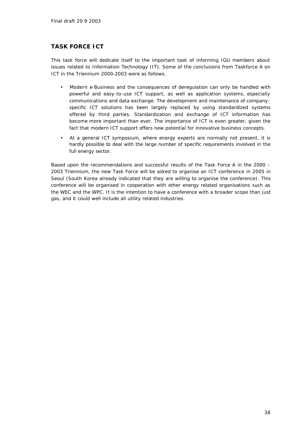# *TASK FORCE ICT*

This task force will dedicate itself to the important task of informing IGU members about issues related to Information Technology (IT). Some of the conclusions from Taskforce A on ICT in the Triennium 2000-2003 were as follows.

- Modern e-Business and the consequences of deregulation can only be handled with powerful and easy-to-use ICT support, as well as application systems, especially communications and data exchange. The development and maintenance of companyspecific ICT solutions has been largely replaced by using standardized systems offered by third parties. Standardization and exchange of ICT information has become more important than ever. The importance of ICT is even greater, given the fact that modern ICT support offers new potential for innovative business concepts.
- At a general ICT symposium, where energy experts are normally not present, it is hardly possible to deal with the large number of specific requirements involved in the full energy sector.

Based upon the recommendations and successful results of the Task Force A in the 2000 – 2003 Triennium, the new Task Force will be asked to organise an ICT conference in 2005 in Seoul (South Korea already indicated that they are willing to organise the conference). This conference will be organised in cooperation with other energy related organisations such as the WEC and the WPC. It is the intention to have a conference with a broader scope than just gas, and it could well include all utility related industries.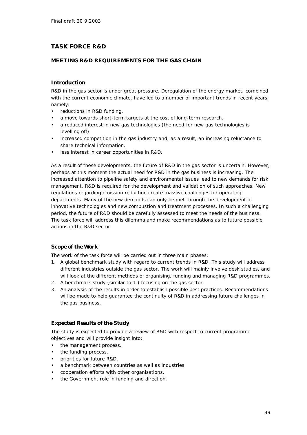# *TASK FORCE R&D*

# *MEETING R&D REQUIREMENTS FOR THE GAS CHAIN*

#### *Introduction*

R&D in the gas sector is under great pressure. Deregulation of the energy market, combined with the current economic climate, have led to a number of important trends in recent years, namely:

- reductions in R&D funding.
- a move towards short-term targets at the cost of long-term research.
- a reduced interest in new gas technologies (the need for new gas technologies is levelling off).
- increased competition in the gas industry and, as a result, an increasing reluctance to share technical information.
- less interest in career opportunities in R&D.

As a result of these developments, the future of R&D in the gas sector is uncertain. However, perhaps at this moment the actual need for R&D in the gas business is increasing. The increased attention to pipeline safety and environmental issues lead to new demands for risk management. R&D is required for the development and validation of such approaches. New regulations regarding emission reduction create massive challenges for operating departments. Many of the new demands can only be met through the development of innovative technologies and new combustion and treatment processes. In such a challenging period, the future of R&D should be carefully assessed to meet the needs of the business. The task force will address this dilemma and make recommendations as to future possible actions in the R&D sector.

#### *Scope of the Work*

The work of the task force will be carried out in three main phases:

- 1. A global benchmark study with regard to current trends in R&D. This study will address different industries outside the gas sector. The work will mainly involve desk studies, and will look at the different methods of organising, funding and managing R&D programmes.
- 2. A benchmark study (similar to 1.) focusing on the gas sector.
- 3. An analysis of the results in order to establish possible best practices. Recommendations will be made to help guarantee the continuity of R&D in addressing future challenges in the gas business.

#### *Expected Results of the Study*

The study is expected to provide a review of R&D with respect to current programme objectives and will provide insight into:

- the management process.
- the funding process.
- priorities for future R&D.
- a benchmark between countries as well as industries.
- cooperation efforts with other organisations.
- the Government role in funding and direction.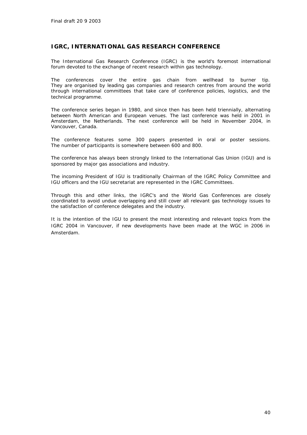# *IGRC, INTERNATIONAL GAS RESEARCH CONFERENCE*

The International Gas Research Conference (IGRC) is the world's foremost international forum devoted to the exchange of recent research within gas technology.

The conferences cover the entire gas chain from wellhead to burner tip. They are organised by leading gas companies and research centres from around the world through international committees that take care of conference policies, logistics, and the technical programme.

The conference series began in 1980, and since then has been held triennially, alternating between North American and European venues. The last conference was held in 2001 in Amsterdam, the Netherlands. The next conference will be held in November 2004, in Vancouver, Canada.

The conference features some 300 papers presented in oral or poster sessions. The number of participants is somewhere between 600 and 800.

The conference has always been strongly linked to the International Gas Union (IGU) and is sponsored by major gas associations and industry.

The incoming President of IGU is traditionally Chairman of the IGRC Policy Committee and IGU officers and the IGU secretariat are represented in the IGRC Committees.

Through this and other links, the IGRC's and the World Gas Conferences are closely coordinated to avoid undue overlapping and still cover all relevant gas technology issues to the satisfaction of conference delegates and the industry.

It is the intention of the IGU to present the most interesting and relevant topics from the IGRC 2004 in Vancouver, if new developments have been made at the WGC in 2006 in Amsterdam.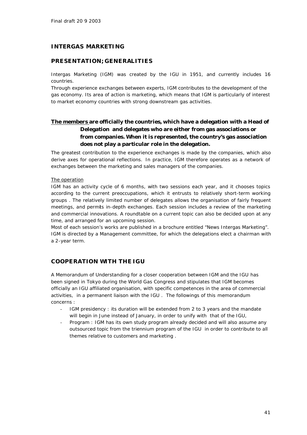# *INTERGAS MARKETING*

# *PRESENTATION; GENERALITIES*

Intergas Marketing (IGM) was created by the IGU in 1951, and currently includes 16 countries.

Through experience exchanges between experts, IGM contributes to the development of the gas economy. Its area of action is marketing, which means that IGM is particularly of interest to market economy countries with strong downstream gas activities.

# **The members are officially the countries, which have a delegation with a Head of Delegation and delegates who are either from gas associations or from companies. When it is represented, the country's gas association does not play a particular role in the delegation.**

The greatest contribution to the experience exchanges is made by the companies, which also derive axes for operational reflections. In practice, IGM therefore operates as a network of exchanges between the marketing and sales managers of the companies.

#### The operation

IGM has an activity cycle of 6 months, with two sessions each year, and it chooses topics according to the current preoccupations, which it entrusts to relatively short-term working groups . The relatively limited number of delegates allows the organisation of fairly frequent meetings, and permits in-depth exchanges. Each session includes a review of the marketing and commercial innovations. A roundtable on a current topic can also be decided upon at any time, and arranged for an upcoming session.

Most of each session's works are published in a brochure entitled "News Intergas Marketing". IGM is directed by a Management committee, for which the delegations elect a chairman with a 2-year term.

# *COOPERATION WITH THE IGU*

A Memorandum of Understanding for a closer cooperation between IGM and the IGU has been signed in Tokyo during the World Gas Congress and stipulates that IGM becomes officially an IGU affiliated organisation, with specific competences in the area of commercial activities, in a permanent liaison with the IGU . The followings of this memorandum concerns :

- IGM presidency : its duration will be extended from 2 to 3 years and the mandate will begin in June instead of January, in order to unify with that of the IGU,
- Program : IGM has its own study program already decided and will also assume any outsourced topic from the triennium program of the IGU in order to contribute to all themes relative to customers and marketing .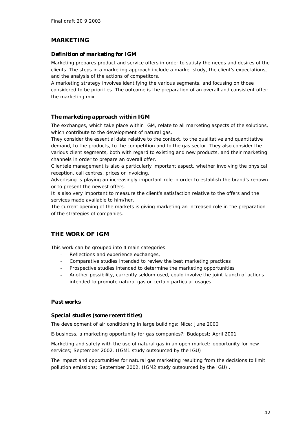# *MARKETING*

### *Definition of marketing for IGM*

Marketing prepares product and service offers in order to satisfy the needs and desires of the clients. The steps in a marketing approach include a market study, the client's expectations, and the analysis of the actions of competitors.

A marketing strategy involves identifying the various segments, and focusing on those considered to be priorities. The outcome is the preparation of an overall and consistent offer: the marketing mix.

# *The marketing approach within IGM*

The exchanges, which take place within IGM, relate to all marketing aspects of the solutions, which contribute to the development of natural gas.

They consider the essential data relative to the context, to the qualitative and quantitative demand, to the products, to the competition and to the gas sector. They also consider the various client segments, both with regard to existing and new products, and their marketing channels in order to prepare an overall offer.

Clientele management is also a particularly important aspect, whether involving the physical reception, call centres, prices or invoicing.

Advertising is playing an increasingly important role in order to establish the brand's renown or to present the newest offers.

It is also very important to measure the client's satisfaction relative to the offers and the services made available to him/her.

The current opening of the markets is giving marketing an increased role in the preparation of the strategies of companies.

# *THE WORK OF IGM*

This work can be grouped into 4 main categories.

- Reflections and experience exchanges,
- Comparative studies intended to review the best marketing practices
- Prospective studies intended to determine the marketing opportunities
- Another possibility, currently seldom used, could involve the joint launch of actions intended to promote natural gas or certain particular usages.

#### *Past works*

#### *Special studies (some recent titles)*

The development of air conditioning in large buildings; Nice; June 2000

E-business, a marketing opportunity for gas companies?; Budapest; April 2001

Marketing and safety with the use of natural gas in an open market: opportunity for new services; September 2002. (IGM1 study outsourced by the IGU)

The impact and opportunities for natural gas marketing resulting from the decisions to limit pollution emissions; September 2002. (IGM2 study outsourced by the IGU) .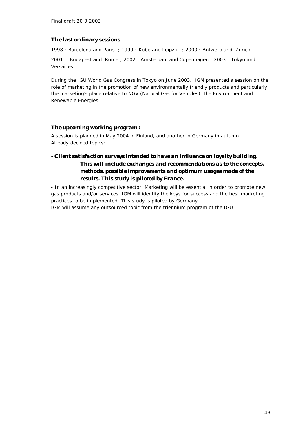#### *The last ordinary sessions*

1998 : Barcelona and Paris ; 1999 : Kobe and Leipzig ; 2000 : Antwerp and Zurich

2001 : Budapest and Rome ; 2002 : Amsterdam and Copenhagen ; 2003 : Tokyo and Versailles

During the IGU World Gas Congress in Tokyo on June 2003, IGM presented a session on the role of marketing in the promotion of new environmentally friendly products and particularly the marketing's place relative to NGV (Natural Gas for Vehicles), the Environment and Renewable Energies.

#### *The upcoming working program :*

A session is planned in May 2004 in Finland, and another in Germany in autumn. Already decided topics:

# *- Client satisfaction surveys intended to have an influence on loyalty building. This will include exchanges and recommendations as to the concepts, methods, possible improvements and optimum usages made of the results. This study is piloted by France.*

- In an increasingly competitive sector, Marketing will be essential in order to promote new gas products and/or services. IGM will identify the keys for success and the best marketing practices to be implemented. This study is piloted by Germany. IGM will assume any outsourced topic from the triennium program of the IGU.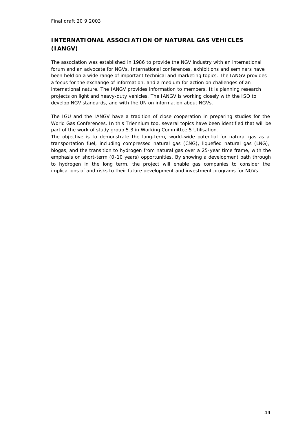# *INTERNATIONAL ASSOCIATION OF NATURAL GAS VEHICLES (IANGV)*

The association was established in 1986 to provide the NGV industry with an international forum and an advocate for NGVs. International conferences, exhibitions and seminars have been held on a wide range of important technical and marketing topics. The IANGV provides a focus for the exchange of information, and a medium for action on challenges of an international nature. The IANGV provides information to members. It is planning research projects on light and heavy-duty vehicles. The IANGV is working closely with the ISO to develop NGV standards, and with the UN on information about NGVs.

The IGU and the IANGV have a tradition of close cooperation in preparing studies for the World Gas Conferences. In this Triennium too, several topics have been identified that will be part of the work of study group 5.3 in Working Committee 5 Utilisation.

The objective is to demonstrate the long-term, world-wide potential for natural gas as a transportation fuel, including compressed natural gas (CNG), liquefied natural gas (LNG), biogas, and the transition to hydrogen from natural gas over a 25-year time frame, with the emphasis on short-term (0-10 years) opportunities. By showing a development path through to hydrogen in the long term, the project will enable gas companies to consider the implications of and risks to their future development and investment programs for NGVs.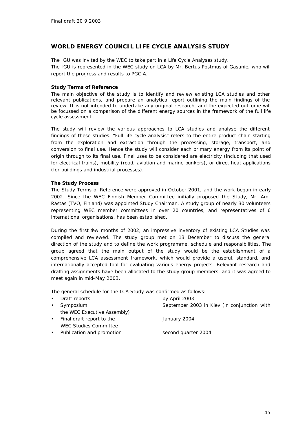# *WORLD ENERGY COUNCIL LIFE CYCLE ANALYSIS STUDY*

The IGU was invited by the WEC to take part in a Life Cycle Analyses study. The IGU is represented in the WEC study on LCA by Mr. Bertus Postmus of Gasunie, who will report the progress and results to PGC A.

#### **Study Terms of Reference**

The main objective of the study is to identify and review existing LCA studies and other relevant publications, and prepare an analytical report outlining the main findings of the review. It is not intended to undertake any original research, and the expected outcome will be focussed on a comparison of the different energy sources in the framework of the full life cycle assessment.

The study will review the various approaches to LCA studies and analyse the different findings of these studies. "Full life cycle analysis" refers to the entire product chain starting from the exploration and extraction through the processing, storage, transport, and conversion to final use. Hence the study will consider each primary energy from its point of origin through to its final use. Final uses to be considered are electricity (including that used for electrical trains), mobility (road, aviation and marine bunkers), or direct heat applications (for buildings and industrial processes).

#### **The Study Process**

The Study Terms of Reference were approved in October 2001, and the work began in early 2002. Since the WEC Finnish Member Committee initially proposed the Study, Mr. Ami Rastas (TVO, Finland) was appointed Study Chairman. A study group of nearly 30 volunteers representing WEC member committees in over 20 countries, and representatives of 6 international organisations, has been established.

During the first few months of 2002, an impressive inventory of existing LCA Studies was compiled and reviewed. The study group met on 13 December to discuss the general direction of the study and to define the work programme, schedule and responsibilities. The group agreed that the main output of the study would be the establishment of a comprehensive LCA assessment framework, which would provide a useful, standard, and internationally accepted tool for evaluating various energy projects. Relevant research and drafting assignments have been allocated to the study group members, and it was agreed to meet again in mid-May 2003.

The general schedule for the LCA Study was confirmed as follows:

| • Draft reports              | by April 2003                               |
|------------------------------|---------------------------------------------|
| • Symposium                  | September 2003 in Kiev (in conjunction with |
| the WEC Executive Assembly)  |                                             |
| • Final draft report to the  | January 2004                                |
| <b>WEC Studies Committee</b> |                                             |
|                              |                                             |

- Publication and promotion second quarter 2004
	-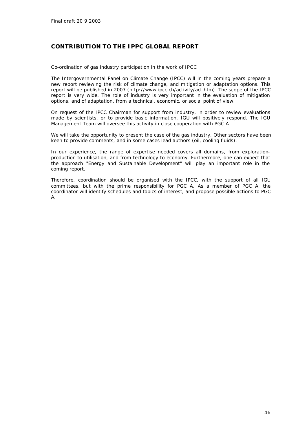# *CONTRIBUTION TO THE IPPC GLOBAL REPORT*

Co-ordination of gas industry participation in the work of IPCC

The Intergovernmental Panel on Climate Change (IPCC) will in the coming years prepare a new report reviewing the risk of climate change, and mitigation or adaptation options. This report will be published in 2007 (http://www.ipcc.ch/activity/act.htm). The scope of the IPCC report is very wide. The role of industry is very important in the evaluation of mitigation options, and of adaptation, from a technical, economic, or social point of view.

On request of the IPCC Chairman for support from industry, in order to review evaluations made by scientists, or to provide basic information, IGU will positively respond. The IGU Management Team will oversee this activity in close cooperation with PGC A.

We will take the opportunity to present the case of the gas industry. Other sectors have been keen to provide comments, and in some cases lead authors (oil, cooling fluids).

In our experience, the range of expertise needed covers all domains, from explorationproduction to utilisation, and from technology to economy. Furthermore, one can expect that the approach "Energy and Sustainable Development" will play an important role in the coming report.

Therefore, coordination should be organised with the IPCC, with the support of all IGU committees, but with the prime responsibility for PGC A. As a member of PGC A, the coordinator will identify schedules and topics of interest, and propose possible actions to PGC A.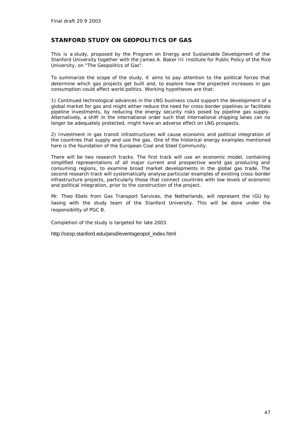# *STANFORD STUDY ON GEOPOLITICS OF GAS*

This is a study, proposed by the Program on Energy and Sustainable Development of the Stanford University together with the James A. Baker III Institute for Public Policy of the Rice University, on "The Geopolitics of Gas".

To summarize the scope of the study, it aims to pay attention to the political forces that determine which gas projects get built and, to explore how the projected increases in gas consumption could affect world politics. Working hypotheses are that:

1) Continued technological advances in the LNG business could support the development of a global market for gas and might either reduce the need for cross-border pipelines or facilitate pipeline investments, by reducing the energy security risks posed by pipeline gas supply. Alternatively, a shift in the international order such that international shipping lanes can no longer be adequately protected, might have an adverse effect on LNG prospects.

2) Investment in gas transit infrastructures will cause economic and political integration of the countries that supply and use the gas. One of the historical energy examples mentioned here is the foundation of the European Coal and Steel Community.

There will be two research tracks. The first track will use an economic model, containing simplified representations of all major current and prospective world gas producing and consuming regions, to examine broad market developments in the global gas trade. The second research track will systematically analyse particular examples of existing cross-border infrastructure projects, particularly those that connect countries with low levels of economic and political integration, prior to the construction of the project.

Mr. Theo Ebels from Gas Transport Services, the Netherlands, will represent the IGU by liasing with the study team of the Stanford University. This will be done under the responsibility of PGC B.

Completion of the study is targeted for late 2003.

http://cesp.stanford.edu/pesd/eventsgeopol\_index.html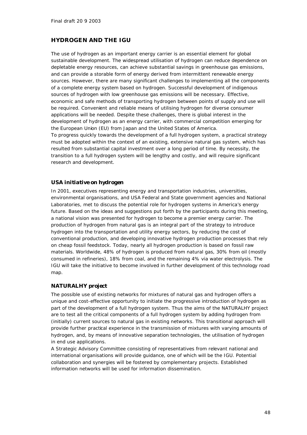# *HYDROGEN AND THE IGU*

The use of hydrogen as an important energy carrier is an essential element for global sustainable development. The widespread utilisation of hydrogen can reduce dependence on depletable energy resources, can achieve substantial savings in greenhouse gas emissions, and can provide a storable form of energy derived from intermittent renewable energy sources. However, there are many significant challenges to implementing all the components of a complete energy system based on hydrogen. Successful development of indigenous sources of hydrogen with low greenhouse gas emissions will be necessary. Effective, economic and safe methods of transporting hydrogen between points of supply and use will be required. Convenient and reliable means of utilising hydrogen for diverse consumer applications will be needed. Despite these challenges, there is global interest in the development of hydrogen as an energy carrier, with commercial competition emerging for the European Union (EU) from Japan and the United States of America. To progress quickly towards the development of a full hydrogen system, a practical strategy must be adopted within the context of an existing, extensive natural gas system, which has resulted from substantial capital investment over a long period of time. By necessity, the transition to a full hydrogen system will be lengthy and costly, and will require significant research and development.

# *USA initiative on hydrogen*

In 2001, executives representing energy and transportation industries, universities, environmental organisations, and USA Federal and State government agencies and National Laboratories, met to discuss the potential role for hydrogen systems in America's energy future. Based on the ideas and suggestions put forth by the participants during this meeting, a national vision was presented for hydrogen to become a premier energy carrier. The production of hydrogen from natural gas is an integral part of the strategy to introduce hydrogen into the transportation and utility energy sectors, by reducing the cost of conventional production, and developing innovative hydrogen production processes that rely on cheap fossil feedstock. Today, nearly all hydrogen production is based on fossil raw materials. Worldwide, 48% of hydrogen is produced from natural gas, 30% from oil (mostly consumed in refineries), 18% from coal, and the remaining 4% via water electrolysis. The IGU will take the initiative to become involved in further development of this technology road map.

# *NATURALHY project*

The possible use of existing networks for mixtures of natural gas and hydrogen offers a unique and cost-effective opportunity to initiate the progressive introduction of hydrogen as part of the development of a full hydrogen system. Thus the aims of the NATURALHY project are to test all the critical components of a full hydrogen system by adding hydrogen from (initially) current sources to natural gas in existing networks. This transitional approach will provide further practical experience in the transmission of mixtures with varying amounts of hydrogen, and, by means of innovative separation technologies, the utilisation of hydrogen in end use applications.

A Strategic Advisory Committee consisting of representatives from relevant national and international organisations will provide guidance, one of which will be the IGU. Potential collaboration and synergies will be fostered by complementary projects. Established information networks will be used for information dissemination.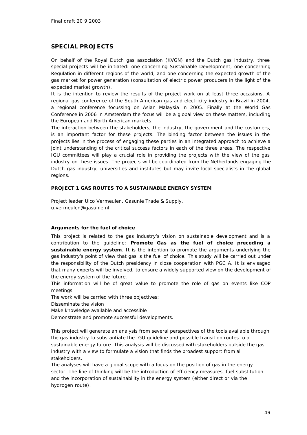# *SPECIAL PROJECTS*

On behalf of the Royal Dutch gas association (KVGN) and the Dutch gas industry, three special projects will be initiated: one concerning Sustainable Development, one concerning Regulation in different regions of the world, and one concerning the expected growth of the gas market for power generation (consultation of electric power producers in the light of the expected market growth).

It is the intention to review the results of the project work on at least three occasions. A regional gas conference of the South American gas and electricity industry in Brazil in 2004, a regional conference focussing on Asian Malaysia in 2005. Finally at the World Gas Conference in 2006 in Amsterdam the focus will be a global view on these matters, including the European and North American markets.

The interaction between the stakeholders, the industry, the government and the customers, is an important factor for these projects. The binding factor between the issues in the projects lies in the process of engaging these parties in an integrated approach to achieve a joint understanding of the critical success factors in each of the three areas. The respective IGU committees will play a crucial role in providing the projects with the view of the gas industry on these issues. The projects will be coordinated from the Netherlands engaging the Dutch gas industry, universities and institutes but may invite local specialists in the global regions.

#### *PROJECT 1 GAS ROUTES TO A SUSTAINABLE ENERGY SYSTEM*

Project leader Ulco Vermeulen, Gasunie Trade & Supply. u.vermeulen@gasunie.nl

#### *Arguments for the fuel of choice*

This project is related to the gas industry's vision on sustainable development and is a contribution to the guideline: **Promote Gas as the fuel of choice preceding a sustainable energy system**. It is the intention to promote the arguments underlying the gas industry's point of view that gas is the fuel of choice. This study will be carried out under the responsibility of the Dutch presidency in close cooperation with PGC A. It is envisaged that many experts will be involved, to ensure a widely supported view on the development of the energy system of the future.

This information will be of great value to promote the role of gas on events like COP meetings.

The work will be carried with three objectives:

Disseminate the vision

Make knowledge available and accessible

Demonstrate and promote successful developments.

This project will generate an analysis from several perspectives of the tools available through the gas industry to substantiate the IGU guideline and possible transition routes to a sustainable energy future. This analysis will be discussed with stakeholders outside the gas industry with a view to formulate a vision that finds the broadest support from all stakeholders.

The analyses will have a global scope with a focus on the position of gas in the energy sector. The line of thinking will be the introduction of efficiency measures, fuel substitution and the incorporation of sustainability in the energy system (either direct or via the hydrogen route).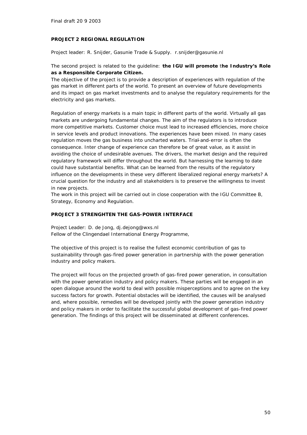#### *PROJECT 2 REGIONAL REGULATION*

Project leader: R. Snijder, Gasunie Trade & Supply. r.snijder@gasunie.nl

### The second project is related to the guideline: **the IGU will promote** t**he Industry's Role as a Responsible Corporate Citizen.**

The objective of the project is to provide a description of experiences with regulation of the gas market in different parts of the world. To present an overview of future developments and its impact on gas market investments and to analyse the regulatory requirements for the electricity and gas markets.

Regulation of energy markets is a main topic in different parts of the world. Virtually all gas markets are undergoing fundamental changes. The aim of the regulators is to introduce more competitive markets. Customer choice must lead to increased efficiencies, more choice in service levels and product innovations. The experiences have been mixed. In many cases regulation moves the gas business into uncharted waters. Trial-and-error is often the consequence. Inter change of experience can therefore be of great value, as it assist in avoiding the choice of undesirable avenues. The drivers, the market design and the required regulatory framework will differ throughout the world. But harnessing the learning to date could have substantial benefits. What can be learned from the results of the regulatory influence on the developments in these very different liberalized regional energy markets? A crucial question for the industry and all stakeholders is to preserve the willingness to invest in new projects.

The work in this project will be carried out in close cooperation with the IGU Committee B, Strategy, Economy and Regulation.

#### *PROJECT 3 STRENGHTEN THE GAS-POWER INTERFACE*

Project Leader: D. de Jong, dj.dejong@wxs.nl Fellow of the Clingendael International Energy Programme,

The objective of this project is to realise the fullest economic contribution of gas to sustainability through gas-fired power generation in partnership with the power generation industry and policy makers.

The project will focus on the projected growth of gas-fired power generation, in consultation with the power generation industry and policy makers. These parties will be engaged in an open dialogue around the world to deal with possible misperceptions and to agree on the key success factors for growth. Potential obstacles will be identified, the causes will be analysed and, where possible, remedies will be developed jointly with the power generation industry and policy makers in order to facilitate the successful global development of gas-fired power generation. The findings of this project will be disseminated at different conferences.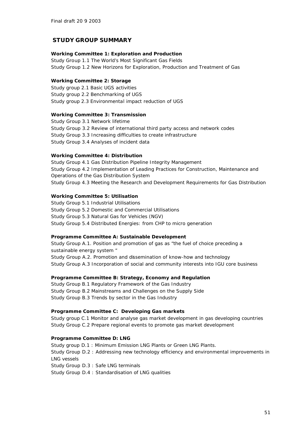# *STUDY GROUP SUMMARY*

# **Working Committee 1: Exploration and Production**

Study Group 1.1 The World's Most Significant Gas Fields Study Group 1.2 New Horizons for Exploration, Production and Treatment of Gas

#### **Working Committee 2: Storage**

Study group 2.1 Basic UGS activities Study group 2.2 Benchmarking of UGS Study group 2.3 Environmental impact reduction of UGS

#### **Working Committee 3: Transmission**

Study Group 3.1 Network lifetime Study Group 3.2 Review of international third party access and network codes Study Group 3.3 Increasing difficulties to create infrastructure Study Group 3.4 Analyses of incident data

#### **Working Committee 4: Distribution**

Study Group 4.1 Gas Distribution Pipeline Integrity Management Study Group 4.2 Implementation of Leading Practices for Construction, Maintenance and Operations of the Gas Distribution System Study Group 4.3 Meeting the Research and Development Requirements for Gas Distribution

#### **Working Committee 5: Utilisation**

Study Group 5.1 Industrial Utilisations Study Group 5.2 Domestic and Commercial Utilisations Study Group 5.3 Natural Gas for Vehicles (NGV) Study Group 5.4 Distributed Energies: from CHP to micro generation

#### **Programme Committee A: Sustainable Development**

Study Group A.1. Position and promotion of gas as "the fuel of choice preceding a sustainable energy system " Study Group A.2. Promotion and dissemination of know-how and technology Study Group A.3 Incorporation of social and community interests into IGU core business

#### **Programme Committee B: Strategy, Economy and Regulation**

Study Group B.1 Regulatory Framework of the Gas Industry Study Group B.2 Mainstreams and Challenges on the Supply Side Study Group B.3 Trends by sector in the Gas Industry

#### **Programme Committee C: Developing Gas markets**

Study group C.1 Monitor and analyse gas market development in gas developing countries Study Group C.2 Prepare regional events to promote gas market development

#### **Programme Committee D: LNG**

Study group D.1 : Minimum Emission LNG Plants or Green LNG Plants. Study Group D.2 : Addressing new technology efficiency and environmental improvements in LNG vessels Study Group D.3 : Safe LNG terminals Study Group D.4 : Standardisation of LNG qualities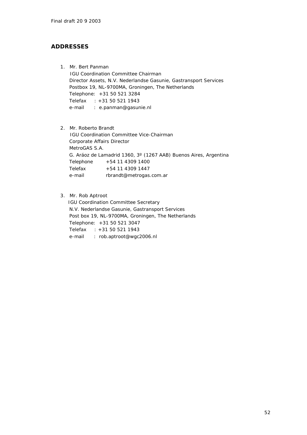# *ADDRESSES*

- 1. Mr. Bert Panman IGU Coordination Committee Chairman Director Assets, N.V. Nederlandse Gasunie, Gastransport Services Postbox 19, NL-9700MA, Groningen, The Netherlands Telephone: +31 50 521 3284 Telefax : +31 50 521 1943 e-mail : e.panman@gasunie.nl
- 2. Mr. Roberto Brandt IGU Coordination Committee Vice-Chairman Corporate Affairs Director MetroGAS S.A. G. Aráoz de Lamadrid 1360, 3º (1267 AAB) Buenos Aires, Argentina Telephone +54 11 4309 1400 Telefax +54 11 4309 1447 e-mail rbrandt@metrogas.com.ar
- 3. Mr. Rob Aptroot

 IGU Coordination Committee Secretary N.V. Nederlandse Gasunie, Gastransport Services Post box 19, NL-9700MA, Groningen, The Netherlands Telephone: +31 50 521 3047 Telefax : +31 50 521 1943 e-mail : rob.aptroot@wgc2006.nl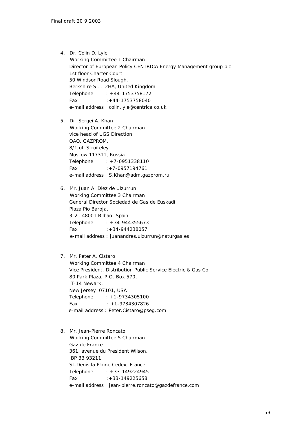4. Dr. Colin D. Lyle Working Committee 1 Chairman Director of European Policy CENTRICA Energy Management group plc 1st floor Charter Court 50 Windsor Road Slough, Berkshire SL 1 2HA, United Kingdom Telephone : +44-1753758172 Fax :+44-1753758040 e-mail address : colin.lyle@centrica.co.uk

5. Dr. Sergei A. Khan Working Committee 2 Chairman vice head of UGS Direction OAO, GAZPROM, 8/1,ul. Stroiteley Moscow 117311, Russia Telephone : +7-0951338110 Fax :+7-0957194761 e-mail address : S.Khan@adm.gazprom.ru

6. Mr. Juan A. Diez de Ulzurrun Working Committee 3 Chairman General Director Sociedad de Gas de Euskadi Plaza Pio Baroja, 3-21 48001 Bilbao, Spain Telephone : +34-944355673 Fax :+34-944238057 e-mail address : juanandres.ulzurrun@naturgas.es

#### 7. Mr. Peter A. Cistaro

 Working Committee 4 Chairman Vice President, Distribution Public Service Electric & Gas Co 80 Park Plaza, P.O. Box 570, T-14 Newark, New Jersey 07101, USA Telephone : +1-9734305100 Fax : +1-9734307826 e-mail address : Peter.Cistaro@pseg.com

8. Mr. Jean-Pierre Roncato Working Committee 5 Chairman Gaz de France 361, avenue du President Wilson, BP 33 93211 St-Denis la Plaine Cedex, France Telephone : +33-149224945 Fax :+33-149225658 e-mail address : jean-pierre.roncato@gazdefrance.com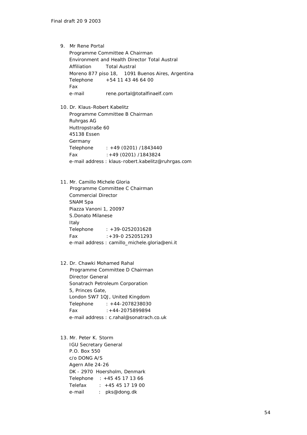9. Mr Rene Portal Programme Committee A Chairman Environment and Health Director Total Austral Affiliation Total Austral Moreno 877 piso 18, 1091 Buenos Aires, Argentina Telephone +54 11 43 46 64 00 Fax e-mail rene.portal@totalfinaelf.com

10. Dr. Klaus-Robert Kabelitz Programme Committee B Chairman Ruhrgas AG Huttropstraße 60 45138 Essen Germany Telephone : +49 (0201) /1843440 Fax :+49 (0201) /1843824 e-mail address : klaus-robert.kabelitz@ruhrgas.com

- 11. Mr. Camillo Michele Gloria Programme Committee C Chairman Commercial Director SNAM Spa Piazza Vanoni 1, 20097 S.Donato Milanese Italy Telephone : +39-0252031628 Fax :+39-0 252051293 e-mail address : camillo\_michele.gloria@eni.it
- 12. Dr. Chawki Mohamed Rahal Programme Committee D Chairman Director General Sonatrach Petroleum Corporation 5, Princes Gate, London SW7 1QJ, United Kingdom Telephone : +44-2078238030 Fax :+44-2075899894 e-mail address : c.rahal@sonatrach.co.uk

13. Mr. Peter K. Storm IGU Secretary General P.O. Box 550 c/o DONG A/S Agern Alle 24-26 DK - 2970 Hoersholm, Denmark Telephone : +45 45 17 13 66 Telefax : +45 45 17 19 00 e-mail : pks@dong.dk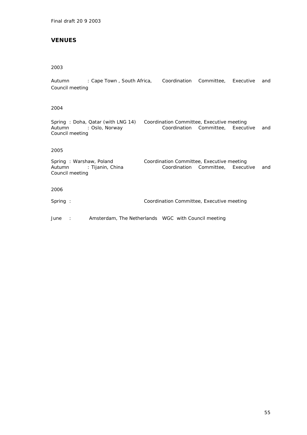# *VENUES*

#### 2003

Autumn : Cape Town , South Africa, Coordination Committee, Executive and Council meeting

# 2004

Spring : Doha, Qatar (with LNG 14) Coordination Committee, Executive meeting<br>Autumn : Oslo, Norway Coordination Committee, Execut Autumn : Oslo, Norway (Coordination Committee, Executive and Council meeting

#### 2005

Spring : Warshaw, Poland Coordination Committee, Executive meeting<br>Autumn : Tijanin, China Coordination Committee, Execut Coordination Committee, Executive and Council meeting

#### 2006

Spring : Coordination Committee, Executive meeting

June : Amsterdam, The Netherlands WGC with Council meeting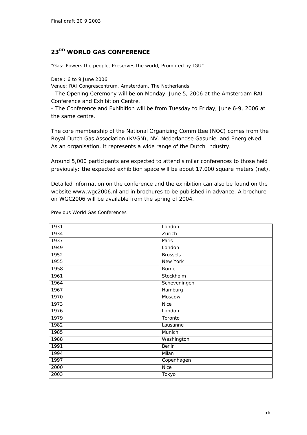# *23RD WORLD GAS CONFERENCE*

"Gas: Powers the people, Preserves the world, Promoted by IGU"

Date : 6 to 9 June 2006

Venue: RAI Congrescentrum, Amsterdam, The Netherlands.

- The Opening Ceremony will be on Monday, June 5, 2006 at the Amsterdam RAI Conference and Exhibition Centre.

- The Conference and Exhibition will be from Tuesday to Friday, June 6-9, 2006 at the same centre.

The core membership of the National Organizing Committee (NOC) comes from the Royal Dutch Gas Association (KVGN), NV. Nederlandse Gasunie, and EnergieNed. As an organisation, it represents a wide range of the Dutch Industry.

Around 5,000 participants are expected to attend similar conferences to those held previously: the expected exhibition space will be about 17,000 square meters (net).

Detailed information on the conference and the exhibition can also be found on the website www.wgc2006.nl and in brochures to be published in advance. A brochure on WGC2006 will be available from the spring of 2004.

| 1931 | London          |
|------|-----------------|
| 1934 | Zurich          |
| 1937 | Paris           |
| 1949 | London          |
| 1952 | <b>Brussels</b> |
| 1955 | New York        |
| 1958 | Rome            |
| 1961 | Stockholm       |
| 1964 | Scheveningen    |
| 1967 | Hamburg         |
| 1970 | Moscow          |
| 1973 | <b>Nice</b>     |
| 1976 | London          |
| 1979 | Toronto         |
| 1982 | Lausanne        |
| 1985 | Munich          |
| 1988 | Washington      |
| 1991 | <b>Berlin</b>   |
| 1994 | Milan           |
| 1997 | Copenhagen      |
| 2000 | <b>Nice</b>     |
| 2003 | Tokyo           |

Previous World Gas Conferences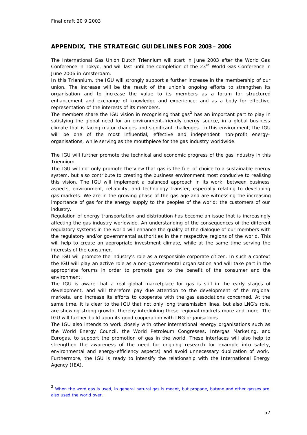ł

# *APPENDIX, THE STRATEGIC GUIDELINES FOR 2003 – 2006*

The International Gas Union Dutch Triennium will start in June 2003 after the World Gas Conference in Tokyo, and will last until the completion of the 23<sup>rd</sup> World Gas Conference in June 2006 in Amsterdam.

In this Triennium, the IGU will strongly support a further increase in the membership of our union. The increase will be the result of the union's ongoing efforts to strengthen its organisation and to increase the value to its members as a forum for structured enhancement and exchange of knowledge and experience, and as a body for effective representation of the interests of its members.

The members share the IGU vision in recognising that gas<sup>2</sup> has an important part to play in satisfying the global need for an environment-friendly energy source, in a global business climate that is facing major changes and significant challenges. In this environment, the IGU will be one of the most influential, effective and independent non-profit energyorganisations, while serving as the mouthpiece for the gas industry worldwide.

The IGU will further promote the technical and economic progress of the gas industry in this Triennium.

The IGU will not only promote the view that gas is the fuel of choice to a sustainable energy system, but also contribute to creating the business environment most conducive to realising this vision. The IGU will implement a balanced approach in its work, between business aspects, environment, reliability, and technology transfer, especially relating to developing gas markets. We are in the growing phase of the gas age and are witnessing the increasing importance of gas for the energy supply to the peoples of the world: the customers of our industry.

Regulation of energy transportation and distribution has become an issue that is increasingly affecting the gas industry worldwide. An understanding of the consequences of the different regulatory systems in the world will enhance the quality of the dialogue of our members with the regulatory and/or governmental authorities in their respective regions of the world. This will help to create an appropriate investment climate, while at the same time serving the interests of the consumer.

The IGU will promote the industry's role as a responsible corporate citizen. In such a context the IGU will play an active role as a non-governmental organisation and will take part in the appropriate forums in order to promote gas to the benefit of the consumer and the environment.

The IGU is aware that a real global marketplace for gas is still in the early stages of development, and will therefore pay due attention to the development of the regional markets, and increase its efforts to cooperate with the gas associations concerned. At the same time, it is clear to the IGU that not only long transmission lines, but also LNG's role, are showing strong growth, thereby interlinking these regional markets more and more. The IGU will further build upon its good cooperation with LNG organisations.

The IGU also intends to work closely with other international energy organisations such as the World Energy Council, the World Petroleum Congresses, Intergas Marketing, and Eurogas, to support the promotion of gas in the world. These interfaces will also help to strengthen the awareness of the need for ongoing research for example into safety, environmental and energy-efficiency aspects) and avoid unnecessary duplication of work. Furthermore, the IGU is ready to intensify the relationship with the International Energy Agency (IEA).

<sup>&</sup>lt;sup>2</sup> When the word gas is used, in general natural gas is meant, but propane, butane and other gasses are also used the world over.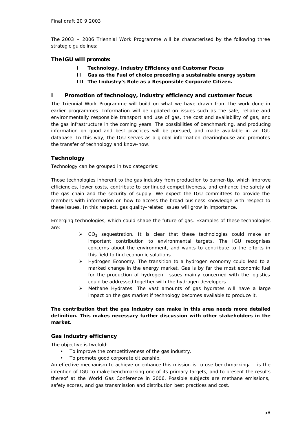The 2003 – 2006 Triennial Work Programme will be characterised by the following three strategic guidelines:

# *The IGU will promote:*

- **I Technology, Industry Efficiency and Customer Focus**
- **II Gas as the Fuel of choice preceding a sustainable energy system**
- **III The Industry's Role as a Responsible Corporate Citizen.**

### *I Promotion of technology, industry efficiency and customer focus*

The Triennial Work Programme will build on what we have drawn from the work done in earlier programmes. Information will be updated on issues such as the safe, reliable and environmentally responsible transport and use of gas, the cost and availability of gas, and the gas infrastructure in the coming years. The possibilities of benchmarking, and producing information on good and best practices will be pursued, and made available in an IGU database. In this way, the IGU serves as a global information clearinghouse and promotes the transfer of technology and know-how.

# *Technology*

Technology can be grouped in two categories:

Those technologies inherent to the gas industry from production to burner-tip, which improve efficiencies, lower costs, contribute to continued competitiveness, and enhance the safety of the gas chain and the security of supply. We expect the IGU committees to provide the members with information on how to access the broad business knowledge with respect to these issues. In this respect, gas quality-related issues will grow in importance.

Emerging technologies, which could shape the future of gas. Examples of these technologies are:

- $\triangleright$  CO<sub>2</sub> sequestration. It is clear that these technologies could make an important contribution to environmental targets. The IGU recognises concerns about the environment, and wants to contribute to the efforts in this field to find economic solutions.
- $\triangleright$  Hydrogen Economy. The transition to a hydrogen economy could lead to a marked change in the energy market. Gas is by far the most economic fuel for the production of hydrogen. Issues mainly concerned with the logistics could be addressed together with the hydrogen developers.
- $\triangleright$  Methane Hydrates. The vast amounts of gas hydrates will have a large impact on the gas market if technology becomes available to produce it.

# **The contribution that the gas industry can make in this area needs more detailed definition. This makes necessary further discussion with other stakeholders in the market.**

#### *Gas industry efficiency*

The objective is twofold:

- To improve the competitiveness of the gas industry.
- To promote good corporate citizenship.

An effective mechanism to achieve or enhance this mission is to use benchmarking**.** *It is the intention of IGU to make benchmarking one of its primary targets, and to present the results thereof at the World Gas Conference in 2006.* Possible subjects are methane emissions, safety scores, and gas transmission and distribution best practices and cost.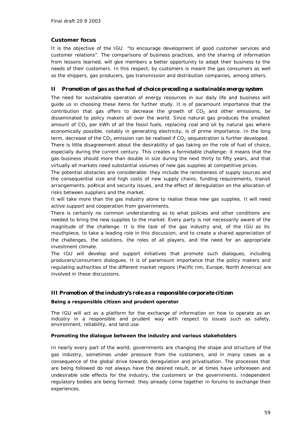# *Customer focus*

It is the objective of the IGU "to encourage development of good customer services and customer relations". The comparisons of business practices, and the sharing of information from lessons learned, will give members a better opportunity to adapt their business to the needs of their customers. In this respect, by customers is meant the gas consumers as well as the shippers, gas producers, gas transmission and distribution companies, among others.

# *II Promotion of gas as the fuel of choice preceding a sustainable energy system*

The need for sustainable operation of energy resources in our daily life and business will guide us in choosing these items for further study. It is of paramount importance that the contribution that gas offers to decrease the growth of  $CO<sub>2</sub>$  and other emissions, be disseminated to policy makers all over the world. Since natural gas produces the smallest amount of  $CO<sub>2</sub>$  per kWh of all the fossil fuels, replacing coal and oil by natural gas where economically possible, notably in generating electricity, is of prime importance. In the long term, decrease of the  $CO_2$  emission can be realised if  $CO_2$  sequestration is further developed.

There is little disagreement about the desirability of gas taking on the role of fuel of choice, especially during the current century. This creates a formidable challenge: it means that the gas business should more than double in size during the next thirty to fifty years, and that virtually all markets need substantial volumes of new gas supplies at competitive prices.

The potential obstacles are considerable: they include the remoteness of supply sources and the consequential size and high costs of new supply chains, funding requirements, transit arrangements, political and security issues, and the effect of deregulation on the allocation of risks between suppliers and the market.

It will take more than the gas industry alone to realise these new gas supplies. It will need active support and cooperation from governments*.* 

There is certainly no common understanding as to what policies and other conditions are needed to bring the new supplies to the market*.* Every party is not necessarily aware of the magnitude of the challenge. *It is the task of the gas industry and, of the IGU as its mouthpiece, to take a leading role in this discussion, and to create a shared appreciation of the challenges, the solutions, the roles of all players, and the need for an appropriate investment climate.*

The IGU will develop and support initiatives that promote such dialogues, including producers/consumers dialogues. It is of paramount importance that the policy makers and regulating authorities of the different market regions (Pacific rim, Europe, North America) are involved in these discussions.

#### *III Promotion of the industry's role as a responsible corporate citizen*

#### *Being a responsible citizen and prudent operator*

The IGU will act as a platform for the exchange of information on how to operate as an industry in a responsible and prudent way with respect to issues such as safety, environment, reliability, and land use.

#### *Promoting the dialogue between the industry and various stakeholders*

In nearly every part of the world, governments are changing the shape and structure of the gas industry, sometimes under pressure from the customers, and in many cases as a consequence of the global drive towards deregulation and privatisation. The processes that are being followed do not always have the desired result, or at times have unforeseen and undesirable side effects for the industry, the customers or the governments. Independent regulatory bodies are being formed: they already come together in forums to exchange their experiences.